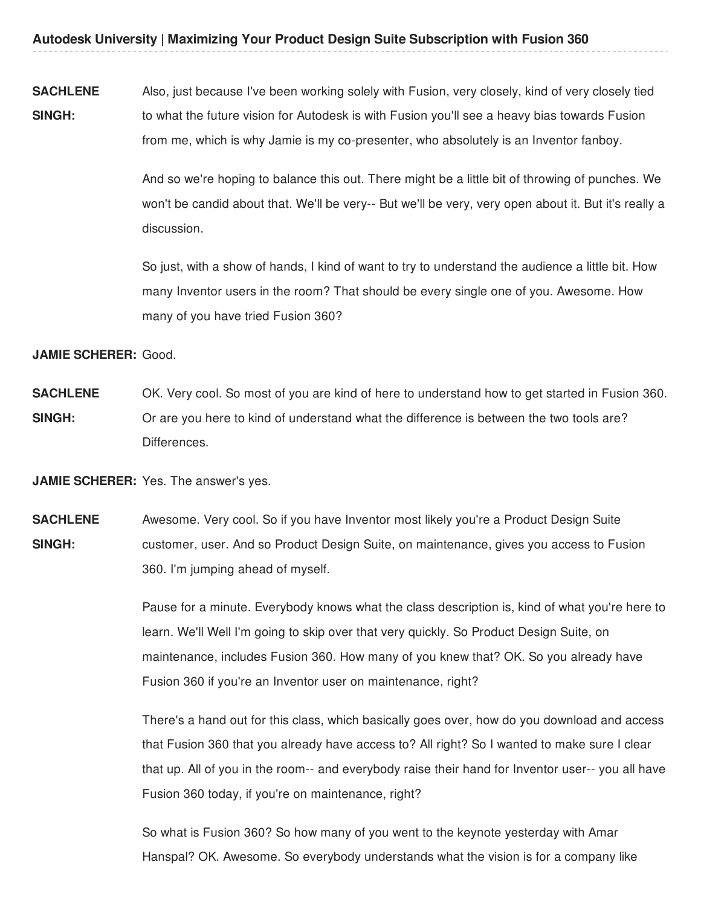**SACHLENE SINGH:** Also, just because I've been working solely with Fusion, very closely, kind of very closely tied to what the future vision for Autodesk is with Fusion you'll see a heavy bias towards Fusion from me, which is why Jamie is my co-presenter, who absolutely is an Inventor fanboy.

> And so we're hoping to balance this out. There might be a little bit of throwing of punches. We won't be candid about that. We'll be very-- But we'll be very, very open about it. But it's really a discussion.

So just, with a show of hands, I kind of want to try to understand the audience a little bit. How many Inventor users in the room? That should be every single one of you. Awesome. How many of you have tried Fusion 360?

**JAMIE SCHERER:** Good.

**SACHLENE SINGH:** OK. Very cool. So most of you are kind of here to understand how to get started in Fusion 360. Or are you here to kind of understand what the difference is between the two tools are? Differences.

**JAMIE SCHERER:** Yes. The answer's yes.

**SACHLENE SINGH:** Awesome. Very cool. So if you have Inventor most likely you're a Product Design Suite customer, user. And so Product Design Suite, on maintenance, gives you access to Fusion 360. I'm jumping ahead of myself.

> Pause for a minute. Everybody knows what the class description is, kind of what you're here to learn. We'll Well I'm going to skip over that very quickly. So Product Design Suite, on maintenance, includes Fusion 360. How many of you knew that? OK. So you already have Fusion 360 if you're an Inventor user on maintenance, right?

> There's a hand out for this class, which basically goes over, how do you download and access that Fusion 360 that you already have access to? All right? So I wanted to make sure I clear that up. All of you in the room-- and everybody raise their hand for Inventor user-- you all have Fusion 360 today, if you're on maintenance, right?

So what is Fusion 360? So how many of you went to the keynote yesterday with Amar Hanspal? OK. Awesome. So everybody understands what the vision is for a company like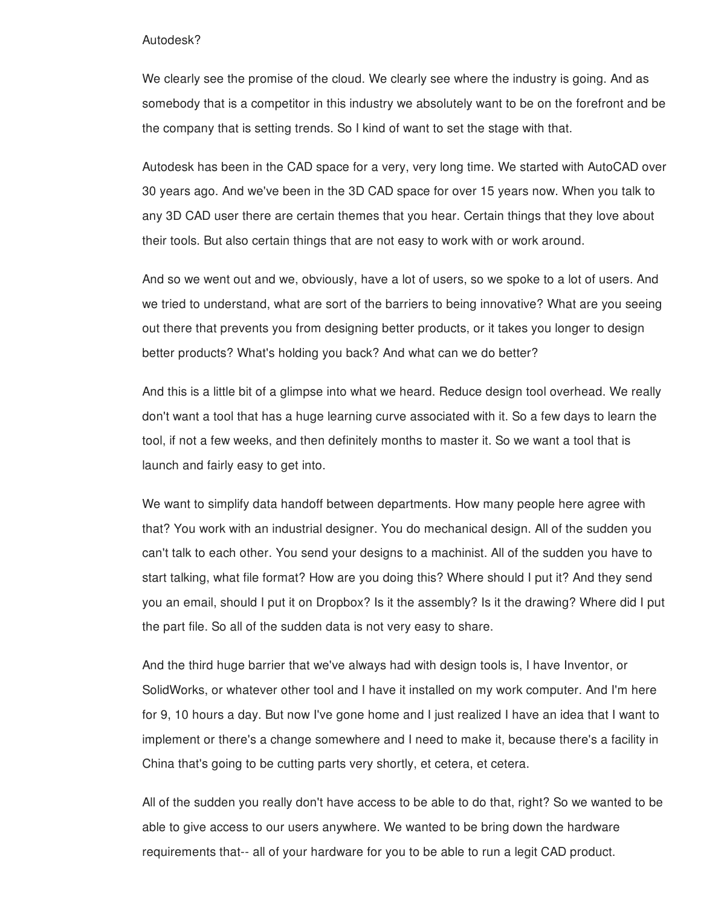## Autodesk?

We clearly see the promise of the cloud. We clearly see where the industry is going. And as somebody that is a competitor in this industry we absolutely want to be on the forefront and be the company that is setting trends. So I kind of want to set the stage with that.

Autodesk has been in the CAD space for a very, very long time. We started with AutoCAD over 30 years ago. And we've been in the 3D CAD space for over 15 years now. When you talk to any 3D CAD user there are certain themes that you hear. Certain things that they love about their tools. But also certain things that are not easy to work with or work around.

And so we went out and we, obviously, have a lot of users, so we spoke to a lot of users. And we tried to understand, what are sort of the barriers to being innovative? What are you seeing out there that prevents you from designing better products, or it takes you longer to design better products? What's holding you back? And what can we do better?

And this is a little bit of a glimpse into what we heard. Reduce design tool overhead. We really don't want a tool that has a huge learning curve associated with it. So a few days to learn the tool, if not a few weeks, and then definitely months to master it. So we want a tool that is launch and fairly easy to get into.

We want to simplify data handoff between departments. How many people here agree with that? You work with an industrial designer. You do mechanical design. All of the sudden you can't talk to each other. You send your designs to a machinist. All of the sudden you have to start talking, what file format? How are you doing this? Where should I put it? And they send you an email, should I put it on Dropbox? Is it the assembly? Is it the drawing? Where did I put the part file. So all of the sudden data is not very easy to share.

And the third huge barrier that we've always had with design tools is, I have Inventor, or SolidWorks, or whatever other tool and I have it installed on my work computer. And I'm here for 9, 10 hours a day. But now I've gone home and I just realized I have an idea that I want to implement or there's a change somewhere and I need to make it, because there's a facility in China that's going to be cutting parts very shortly, et cetera, et cetera.

All of the sudden you really don't have access to be able to do that, right? So we wanted to be able to give access to our users anywhere. We wanted to be bring down the hardware requirements that-- all of your hardware for you to be able to run a legit CAD product.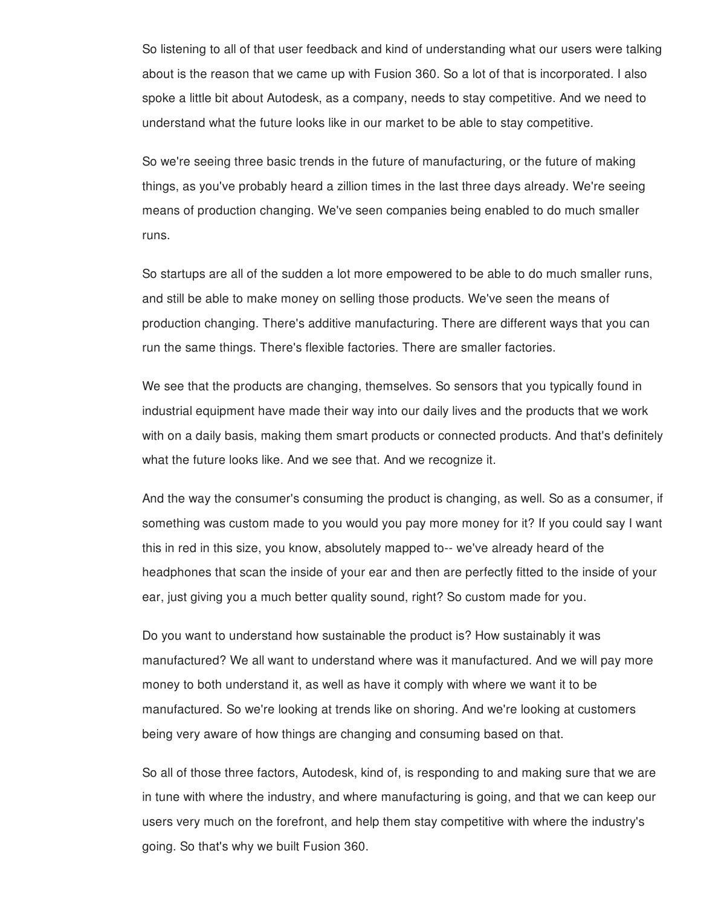So listening to all of that user feedback and kind of understanding what our users were talking about is the reason that we came up with Fusion 360. So a lot of that is incorporated. I also spoke a little bit about Autodesk, as a company, needs to stay competitive. And we need to understand what the future looks like in our market to be able to stay competitive.

So we're seeing three basic trends in the future of manufacturing, or the future of making things, as you've probably heard a zillion times in the last three days already. We're seeing means of production changing. We've seen companies being enabled to do much smaller runs.

So startups are all of the sudden a lot more empowered to be able to do much smaller runs, and still be able to make money on selling those products. We've seen the means of production changing. There's additive manufacturing. There are different ways that you can run the same things. There's flexible factories. There are smaller factories.

We see that the products are changing, themselves. So sensors that you typically found in industrial equipment have made their way into our daily lives and the products that we work with on a daily basis, making them smart products or connected products. And that's definitely what the future looks like. And we see that. And we recognize it.

And the way the consumer's consuming the product is changing, as well. So as a consumer, if something was custom made to you would you pay more money for it? If you could say I want this in red in this size, you know, absolutely mapped to-- we've already heard of the headphones that scan the inside of your ear and then are perfectly fitted to the inside of your ear, just giving you a much better quality sound, right? So custom made for you.

Do you want to understand how sustainable the product is? How sustainably it was manufactured? We all want to understand where was it manufactured. And we will pay more money to both understand it, as well as have it comply with where we want it to be manufactured. So we're looking at trends like on shoring. And we're looking at customers being very aware of how things are changing and consuming based on that.

So all of those three factors, Autodesk, kind of, is responding to and making sure that we are in tune with where the industry, and where manufacturing is going, and that we can keep our users very much on the forefront, and help them stay competitive with where the industry's going. So that's why we built Fusion 360.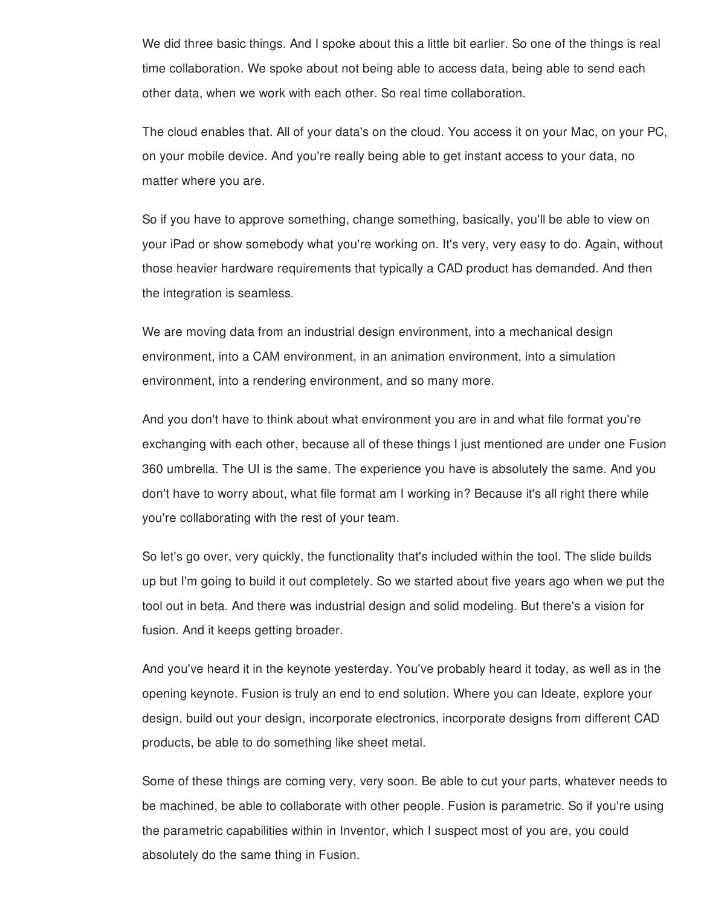We did three basic things. And I spoke about this a little bit earlier. So one of the things is real time collaboration. We spoke about not being able to access data, being able to send each other data, when we work with each other. So real time collaboration.

The cloud enables that. All of your data's on the cloud. You access it on your Mac, on your PC, on your mobile device. And you're really being able to get instant access to your data, no matter where you are.

So if you have to approve something, change something, basically, you'll be able to view on your iPad or show somebody what you're working on. It's very, very easy to do. Again, without those heavier hardware requirements that typically a CAD product has demanded. And then the integration is seamless.

We are moving data from an industrial design environment, into a mechanical design environment, into a CAM environment, in an animation environment, into a simulation environment, into a rendering environment, and so many more.

And you don't have to think about what environment you are in and what file format you're exchanging with each other, because all of these things I just mentioned are under one Fusion 360 umbrella. The UI is the same. The experience you have is absolutely the same. And you don't have to worry about, what file format am I working in? Because it's all right there while you're collaborating with the rest of your team.

So let's go over, very quickly, the functionality that's included within the tool. The slide builds up but I'm going to build it out completely. So we started about five years ago when we put the tool out in beta. And there was industrial design and solid modeling. But there's a vision for fusion. And it keeps getting broader.

And you've heard it in the keynote yesterday. You've probably heard it today, as well as in the opening keynote. Fusion is truly an end to end solution. Where you can Ideate, explore your design, build out your design, incorporate electronics, incorporate designs from different CAD products, be able to do something like sheet metal.

Some of these things are coming very, very soon. Be able to cut your parts, whatever needs to be machined, be able to collaborate with other people. Fusion is parametric. So if you're using the parametric capabilities within in Inventor, which I suspect most of you are, you could absolutely do the same thing in Fusion.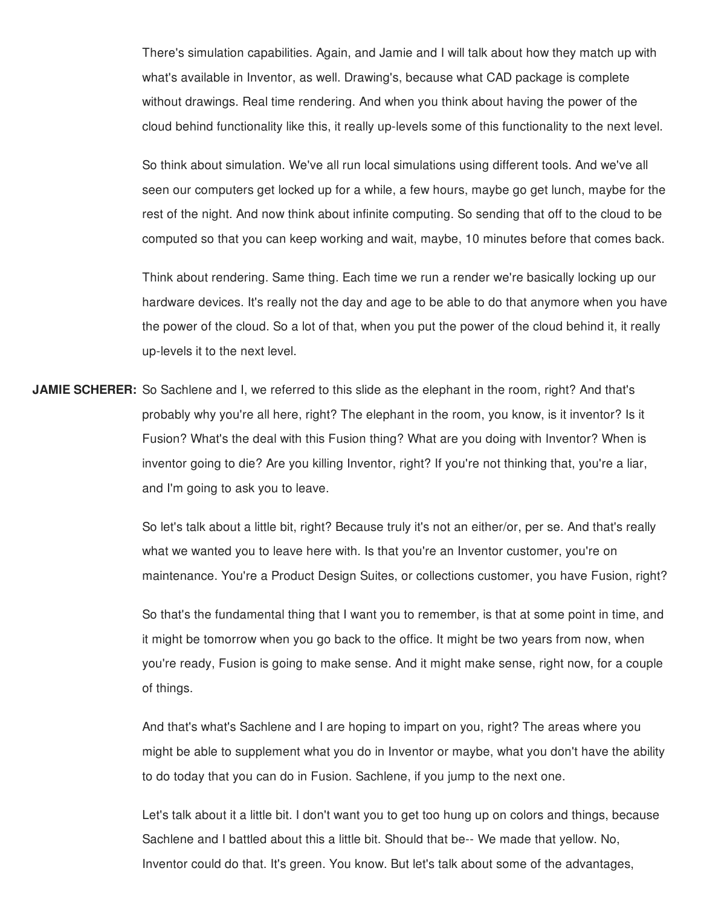There's simulation capabilities. Again, and Jamie and I will talk about how they match up with what's available in Inventor, as well. Drawing's, because what CAD package is complete without drawings. Real time rendering. And when you think about having the power of the cloud behind functionality like this, it really up-levels some of this functionality to the next level.

So think about simulation. We've all run local simulations using different tools. And we've all seen our computers get locked up for a while, a few hours, maybe go get lunch, maybe for the rest of the night. And now think about infinite computing. So sending that off to the cloud to be computed so that you can keep working and wait, maybe, 10 minutes before that comes back.

Think about rendering. Same thing. Each time we run a render we're basically locking up our hardware devices. It's really not the day and age to be able to do that anymore when you have the power of the cloud. So a lot of that, when you put the power of the cloud behind it, it really up-levels it to the next level.

**JAMIE SCHERER:** So Sachlene and I, we referred to this slide as the elephant in the room, right? And that's probably why you're all here, right? The elephant in the room, you know, is it inventor? Is it Fusion? What's the deal with this Fusion thing? What are you doing with Inventor? When is inventor going to die? Are you killing Inventor, right? If you're not thinking that, you're a liar, and I'm going to ask you to leave.

> So let's talk about a little bit, right? Because truly it's not an either/or, per se. And that's really what we wanted you to leave here with. Is that you're an Inventor customer, you're on maintenance. You're a Product Design Suites, or collections customer, you have Fusion, right?

> So that's the fundamental thing that I want you to remember, is that at some point in time, and it might be tomorrow when you go back to the office. It might be two years from now, when you're ready, Fusion is going to make sense. And it might make sense, right now, for a couple of things.

> And that's what's Sachlene and I are hoping to impart on you, right? The areas where you might be able to supplement what you do in Inventor or maybe, what you don't have the ability to do today that you can do in Fusion. Sachlene, if you jump to the next one.

Let's talk about it a little bit. I don't want you to get too hung up on colors and things, because Sachlene and I battled about this a little bit. Should that be-- We made that yellow. No, Inventor could do that. It's green. You know. But let's talk about some of the advantages,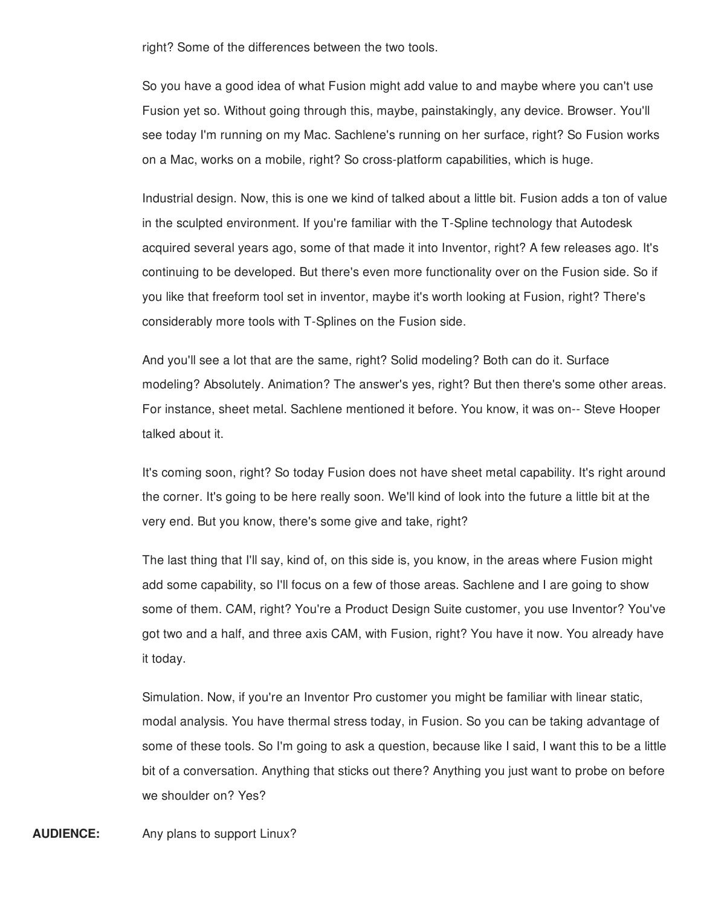right? Some of the differences between the two tools.

So you have a good idea of what Fusion might add value to and maybe where you can't use Fusion yet so. Without going through this, maybe, painstakingly, any device. Browser. You'll see today I'm running on my Mac. Sachlene's running on her surface, right? So Fusion works on a Mac, works on a mobile, right? So cross-platform capabilities, which is huge.

Industrial design. Now, this is one we kind of talked about a little bit. Fusion adds a ton of value in the sculpted environment. If you're familiar with the T-Spline technology that Autodesk acquired several years ago, some of that made it into Inventor, right? A few releases ago. It's continuing to be developed. But there's even more functionality over on the Fusion side. So if you like that freeform tool set in inventor, maybe it's worth looking at Fusion, right? There's considerably more tools with T-Splines on the Fusion side.

And you'll see a lot that are the same, right? Solid modeling? Both can do it. Surface modeling? Absolutely. Animation? The answer's yes, right? But then there's some other areas. For instance, sheet metal. Sachlene mentioned it before. You know, it was on-- Steve Hooper talked about it.

It's coming soon, right? So today Fusion does not have sheet metal capability. It's right around the corner. It's going to be here really soon. We'll kind of look into the future a little bit at the very end. But you know, there's some give and take, right?

The last thing that I'll say, kind of, on this side is, you know, in the areas where Fusion might add some capability, so I'll focus on a few of those areas. Sachlene and I are going to show some of them. CAM, right? You're a Product Design Suite customer, you use Inventor? You've got two and a half, and three axis CAM, with Fusion, right? You have it now. You already have it today.

Simulation. Now, if you're an Inventor Pro customer you might be familiar with linear static, modal analysis. You have thermal stress today, in Fusion. So you can be taking advantage of some of these tools. So I'm going to ask a question, because like I said, I want this to be a little bit of a conversation. Anything that sticks out there? Anything you just want to probe on before we shoulder on? Yes?

**AUDIENCE:** Any plans to support Linux?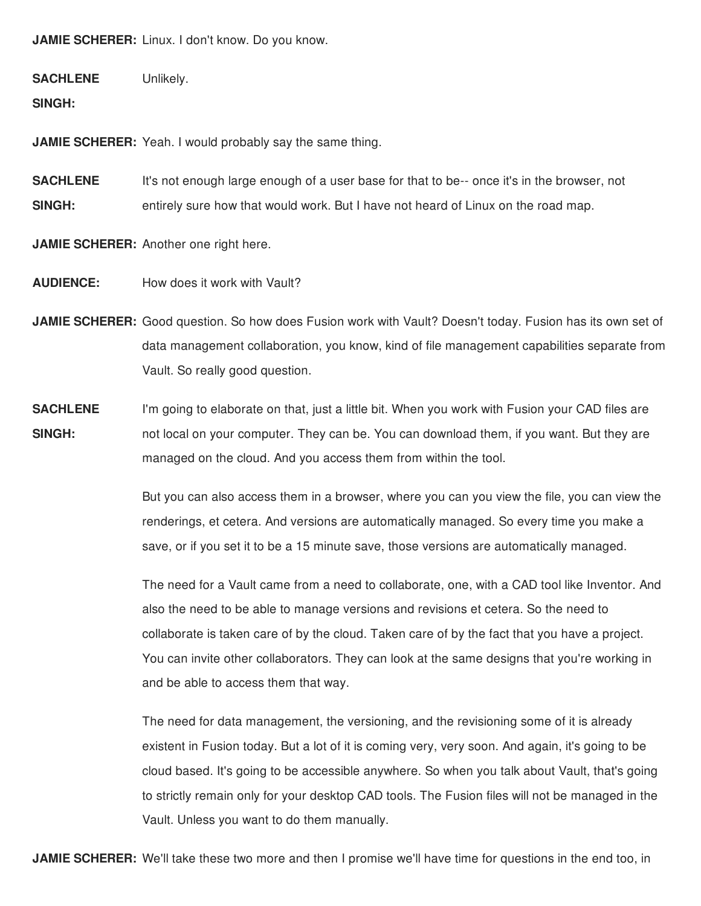**JAMIE SCHERER:** Linux. I don't know. Do you know.

**SACHLENE** Unlikely.

**SINGH:**

**JAMIE SCHERER:** Yeah. I would probably say the same thing.

**SACHLENE SINGH:** It's not enough large enough of a user base for that to be-- once it's in the browser, not entirely sure how that would work. But I have not heard of Linux on the road map.

**JAMIE SCHERER:** Another one right here.

**AUDIENCE:** How does it work with Vault?

**JAMIE SCHERER:** Good question. So how does Fusion work with Vault? Doesn't today. Fusion has its own set of data management collaboration, you know, kind of file management capabilities separate from Vault. So really good question.

**SACHLENE SINGH:** I'm going to elaborate on that, just a little bit. When you work with Fusion your CAD files are not local on your computer. They can be. You can download them, if you want. But they are managed on the cloud. And you access them from within the tool.

> But you can also access them in a browser, where you can you view the file, you can view the renderings, et cetera. And versions are automatically managed. So every time you make a save, or if you set it to be a 15 minute save, those versions are automatically managed.

> The need for a Vault came from a need to collaborate, one, with a CAD tool like Inventor. And also the need to be able to manage versions and revisions et cetera. So the need to collaborate is taken care of by the cloud. Taken care of by the fact that you have a project. You can invite other collaborators. They can look at the same designs that you're working in and be able to access them that way.

> The need for data management, the versioning, and the revisioning some of it is already existent in Fusion today. But a lot of it is coming very, very soon. And again, it's going to be cloud based. It's going to be accessible anywhere. So when you talk about Vault, that's going to strictly remain only for your desktop CAD tools. The Fusion files will not be managed in the Vault. Unless you want to do them manually.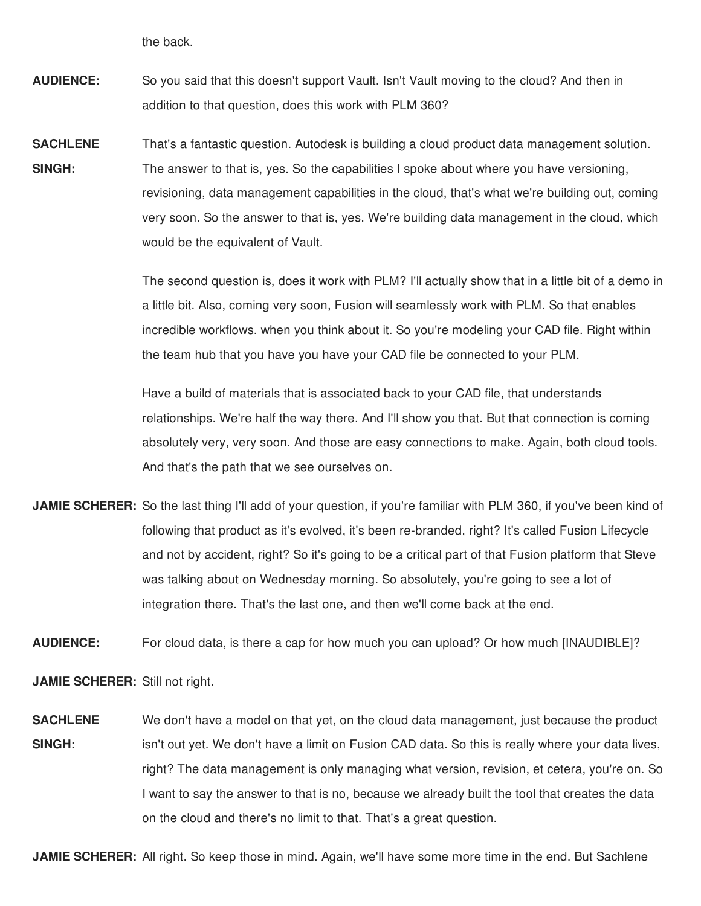the back.

- **AUDIENCE:** So you said that this doesn't support Vault. Isn't Vault moving to the cloud? And then in addition to that question, does this work with PLM 360?
- **SACHLENE SINGH:** That's a fantastic question. Autodesk is building a cloud product data management solution. The answer to that is, yes. So the capabilities I spoke about where you have versioning, revisioning, data management capabilities in the cloud, that's what we're building out, coming very soon. So the answer to that is, yes. We're building data management in the cloud, which would be the equivalent of Vault.

The second question is, does it work with PLM? I'll actually show that in a little bit of a demo in a little bit. Also, coming very soon, Fusion will seamlessly work with PLM. So that enables incredible workflows. when you think about it. So you're modeling your CAD file. Right within the team hub that you have you have your CAD file be connected to your PLM.

Have a build of materials that is associated back to your CAD file, that understands relationships. We're half the way there. And I'll show you that. But that connection is coming absolutely very, very soon. And those are easy connections to make. Again, both cloud tools. And that's the path that we see ourselves on.

**JAMIE SCHERER:** So the last thing I'll add of your question, if you're familiar with PLM 360, if you've been kind of following that product as it's evolved, it's been re-branded, right? It's called Fusion Lifecycle and not by accident, right? So it's going to be a critical part of that Fusion platform that Steve was talking about on Wednesday morning. So absolutely, you're going to see a lot of integration there. That's the last one, and then we'll come back at the end.

**AUDIENCE:** For cloud data, is there a cap for how much you can upload? Or how much [INAUDIBLE]?

**JAMIE SCHERER:** Still not right.

**SACHLENE SINGH:** We don't have a model on that yet, on the cloud data management, just because the product isn't out yet. We don't have a limit on Fusion CAD data. So this is really where your data lives, right? The data management is only managing what version, revision, et cetera, you're on. So I want to say the answer to that is no, because we already built the tool that creates the data on the cloud and there's no limit to that. That's a great question.

**JAMIE SCHERER:** All right. So keep those in mind. Again, we'll have some more time in the end. But Sachlene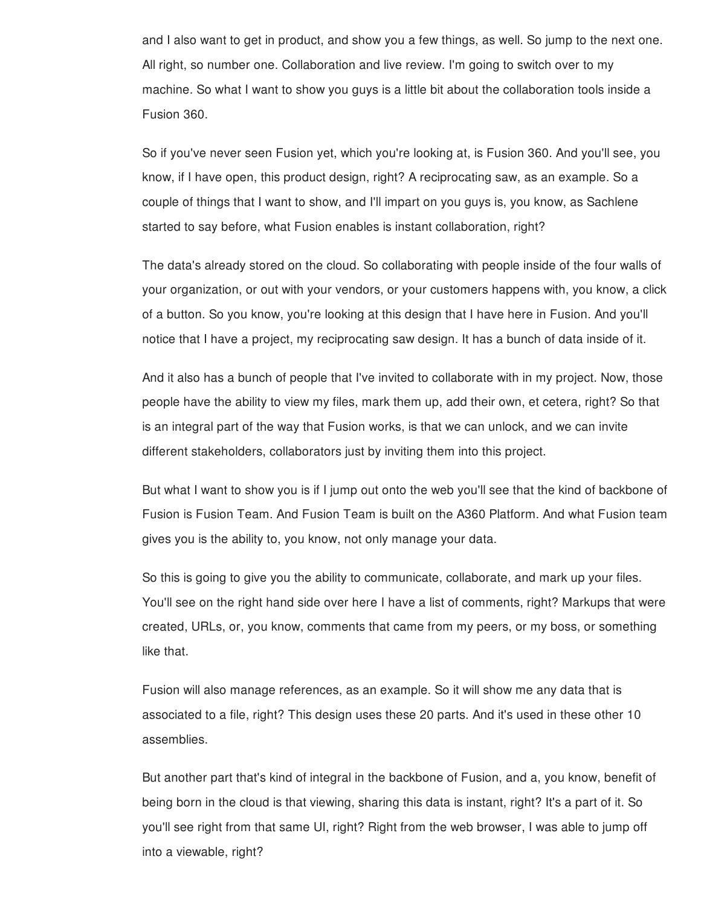and I also want to get in product, and show you a few things, as well. So jump to the next one. All right, so number one. Collaboration and live review. I'm going to switch over to my machine. So what I want to show you guys is a little bit about the collaboration tools inside a Fusion 360.

So if you've never seen Fusion yet, which you're looking at, is Fusion 360. And you'll see, you know, if I have open, this product design, right? A reciprocating saw, as an example. So a couple of things that I want to show, and I'll impart on you guys is, you know, as Sachlene started to say before, what Fusion enables is instant collaboration, right?

The data's already stored on the cloud. So collaborating with people inside of the four walls of your organization, or out with your vendors, or your customers happens with, you know, a click of a button. So you know, you're looking at this design that I have here in Fusion. And you'll notice that I have a project, my reciprocating saw design. It has a bunch of data inside of it.

And it also has a bunch of people that I've invited to collaborate with in my project. Now, those people have the ability to view my files, mark them up, add their own, et cetera, right? So that is an integral part of the way that Fusion works, is that we can unlock, and we can invite different stakeholders, collaborators just by inviting them into this project.

But what I want to show you is if I jump out onto the web you'll see that the kind of backbone of Fusion is Fusion Team. And Fusion Team is built on the A360 Platform. And what Fusion team gives you is the ability to, you know, not only manage your data.

So this is going to give you the ability to communicate, collaborate, and mark up your files. You'll see on the right hand side over here I have a list of comments, right? Markups that were created, URLs, or, you know, comments that came from my peers, or my boss, or something like that.

Fusion will also manage references, as an example. So it will show me any data that is associated to a file, right? This design uses these 20 parts. And it's used in these other 10 assemblies.

But another part that's kind of integral in the backbone of Fusion, and a, you know, benefit of being born in the cloud is that viewing, sharing this data is instant, right? It's a part of it. So you'll see right from that same UI, right? Right from the web browser, I was able to jump off into a viewable, right?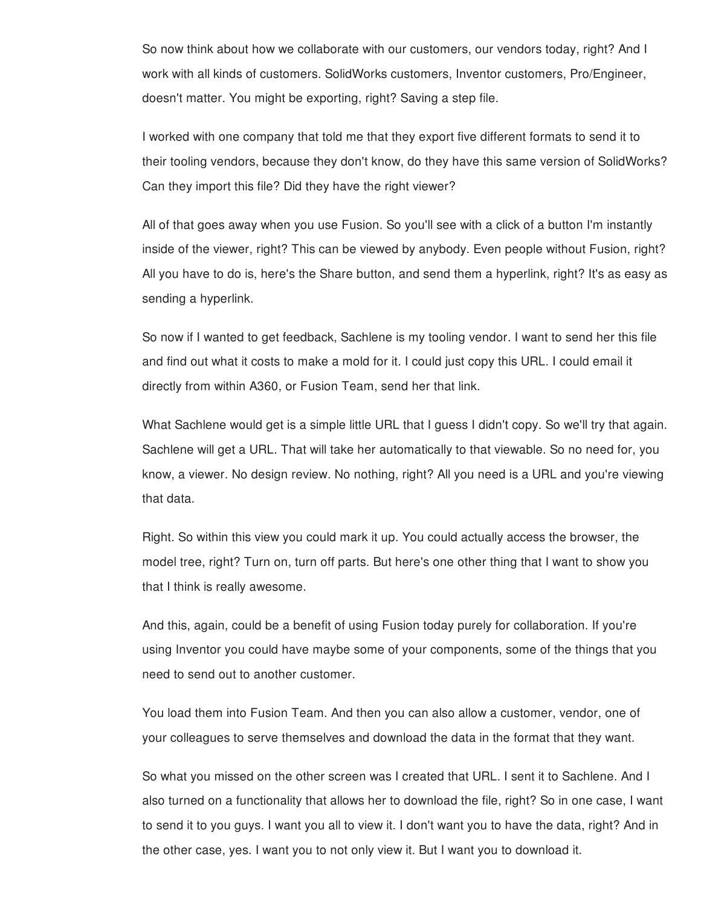So now think about how we collaborate with our customers, our vendors today, right? And I work with all kinds of customers. SolidWorks customers, Inventor customers, Pro/Engineer, doesn't matter. You might be exporting, right? Saving a step file.

I worked with one company that told me that they export five different formats to send it to their tooling vendors, because they don't know, do they have this same version of SolidWorks? Can they import this file? Did they have the right viewer?

All of that goes away when you use Fusion. So you'll see with a click of a button I'm instantly inside of the viewer, right? This can be viewed by anybody. Even people without Fusion, right? All you have to do is, here's the Share button, and send them a hyperlink, right? It's as easy as sending a hyperlink.

So now if I wanted to get feedback, Sachlene is my tooling vendor. I want to send her this file and find out what it costs to make a mold for it. I could just copy this URL. I could email it directly from within A360, or Fusion Team, send her that link.

What Sachlene would get is a simple little URL that I guess I didn't copy. So we'll try that again. Sachlene will get a URL. That will take her automatically to that viewable. So no need for, you know, a viewer. No design review. No nothing, right? All you need is a URL and you're viewing that data.

Right. So within this view you could mark it up. You could actually access the browser, the model tree, right? Turn on, turn off parts. But here's one other thing that I want to show you that I think is really awesome.

And this, again, could be a benefit of using Fusion today purely for collaboration. If you're using Inventor you could have maybe some of your components, some of the things that you need to send out to another customer.

You load them into Fusion Team. And then you can also allow a customer, vendor, one of your colleagues to serve themselves and download the data in the format that they want.

So what you missed on the other screen was I created that URL. I sent it to Sachlene. And I also turned on a functionality that allows her to download the file, right? So in one case, I want to send it to you guys. I want you all to view it. I don't want you to have the data, right? And in the other case, yes. I want you to not only view it. But I want you to download it.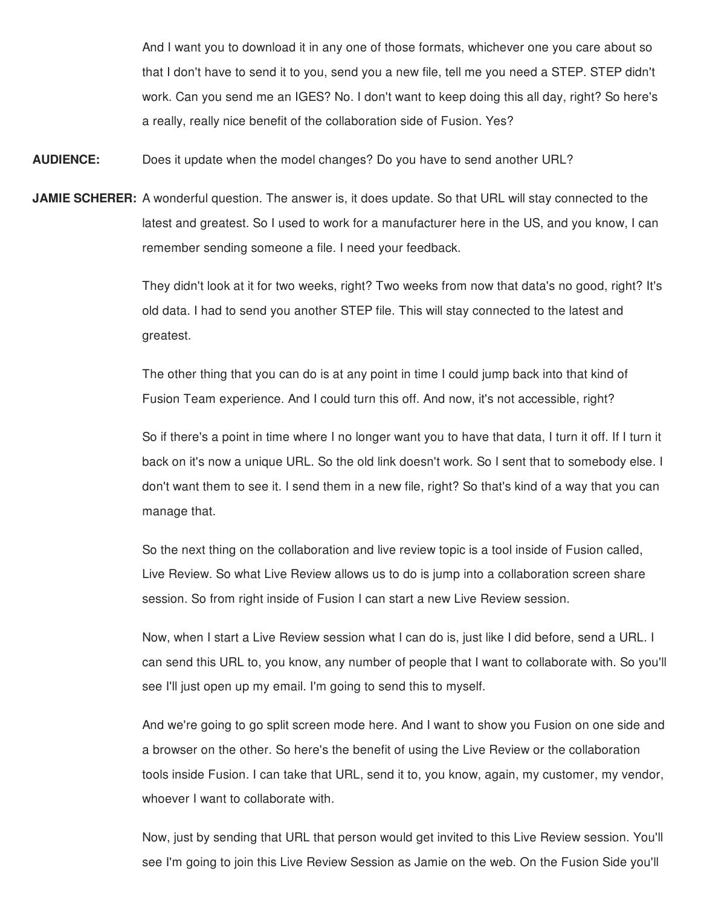And I want you to download it in any one of those formats, whichever one you care about so that I don't have to send it to you, send you a new file, tell me you need a STEP. STEP didn't work. Can you send me an IGES? No. I don't want to keep doing this all day, right? So here's a really, really nice benefit of the collaboration side of Fusion. Yes?

**AUDIENCE:** Does it update when the model changes? Do you have to send another URL?

**JAMIE SCHERER:** A wonderful question. The answer is, it does update. So that URL will stay connected to the latest and greatest. So I used to work for a manufacturer here in the US, and you know, I can remember sending someone a file. I need your feedback.

> They didn't look at it for two weeks, right? Two weeks from now that data's no good, right? It's old data. I had to send you another STEP file. This will stay connected to the latest and greatest.

The other thing that you can do is at any point in time I could jump back into that kind of Fusion Team experience. And I could turn this off. And now, it's not accessible, right?

So if there's a point in time where I no longer want you to have that data, I turn it off. If I turn it back on it's now a unique URL. So the old link doesn't work. So I sent that to somebody else. I don't want them to see it. I send them in a new file, right? So that's kind of a way that you can manage that.

So the next thing on the collaboration and live review topic is a tool inside of Fusion called, Live Review. So what Live Review allows us to do is jump into a collaboration screen share session. So from right inside of Fusion I can start a new Live Review session.

Now, when I start a Live Review session what I can do is, just like I did before, send a URL. I can send this URL to, you know, any number of people that I want to collaborate with. So you'll see I'll just open up my email. I'm going to send this to myself.

And we're going to go split screen mode here. And I want to show you Fusion on one side and a browser on the other. So here's the benefit of using the Live Review or the collaboration tools inside Fusion. I can take that URL, send it to, you know, again, my customer, my vendor, whoever I want to collaborate with.

Now, just by sending that URL that person would get invited to this Live Review session. You'll see I'm going to join this Live Review Session as Jamie on the web. On the Fusion Side you'll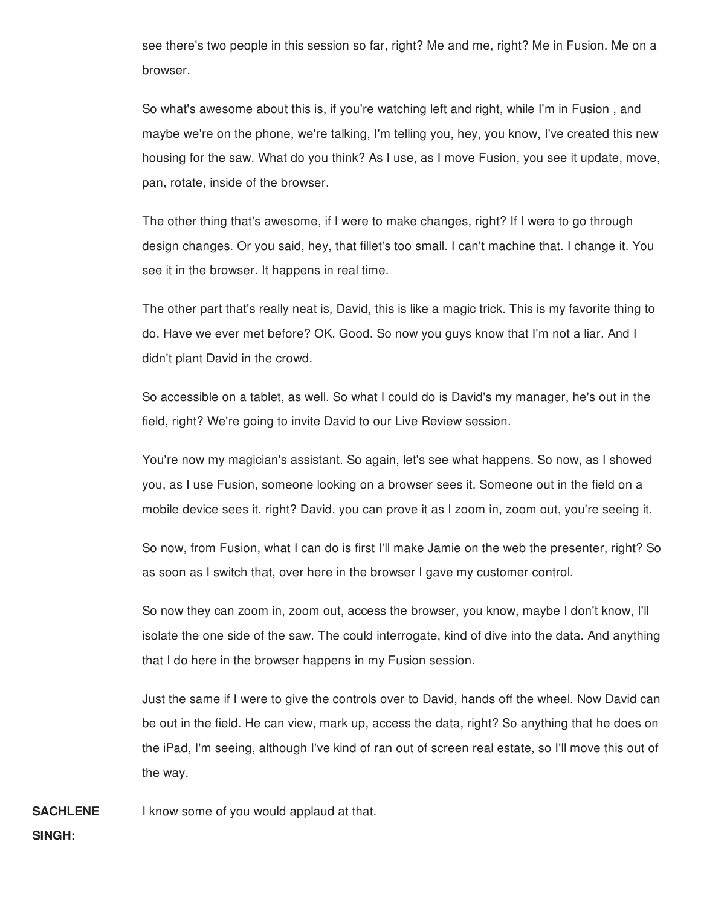see there's two people in this session so far, right? Me and me, right? Me in Fusion. Me on a browser.

So what's awesome about this is, if you're watching left and right, while I'm in Fusion , and maybe we're on the phone, we're talking, I'm telling you, hey, you know, I've created this new housing for the saw. What do you think? As I use, as I move Fusion, you see it update, move, pan, rotate, inside of the browser.

The other thing that's awesome, if I were to make changes, right? If I were to go through design changes. Or you said, hey, that fillet's too small. I can't machine that. I change it. You see it in the browser. It happens in real time.

The other part that's really neat is, David, this is like a magic trick. This is my favorite thing to do. Have we ever met before? OK. Good. So now you guys know that I'm not a liar. And I didn't plant David in the crowd.

So accessible on a tablet, as well. So what I could do is David's my manager, he's out in the field, right? We're going to invite David to our Live Review session.

You're now my magician's assistant. So again, let's see what happens. So now, as I showed you, as I use Fusion, someone looking on a browser sees it. Someone out in the field on a mobile device sees it, right? David, you can prove it as I zoom in, zoom out, you're seeing it.

So now, from Fusion, what I can do is first I'll make Jamie on the web the presenter, right? So as soon as I switch that, over here in the browser I gave my customer control.

So now they can zoom in, zoom out, access the browser, you know, maybe I don't know, I'll isolate the one side of the saw. The could interrogate, kind of dive into the data. And anything that I do here in the browser happens in my Fusion session.

Just the same if I were to give the controls over to David, hands off the wheel. Now David can be out in the field. He can view, mark up, access the data, right? So anything that he does on the iPad, I'm seeing, although I've kind of ran out of screen real estate, so I'll move this out of the way.

**SACHLENE** I know some of you would applaud at that.

**SINGH:**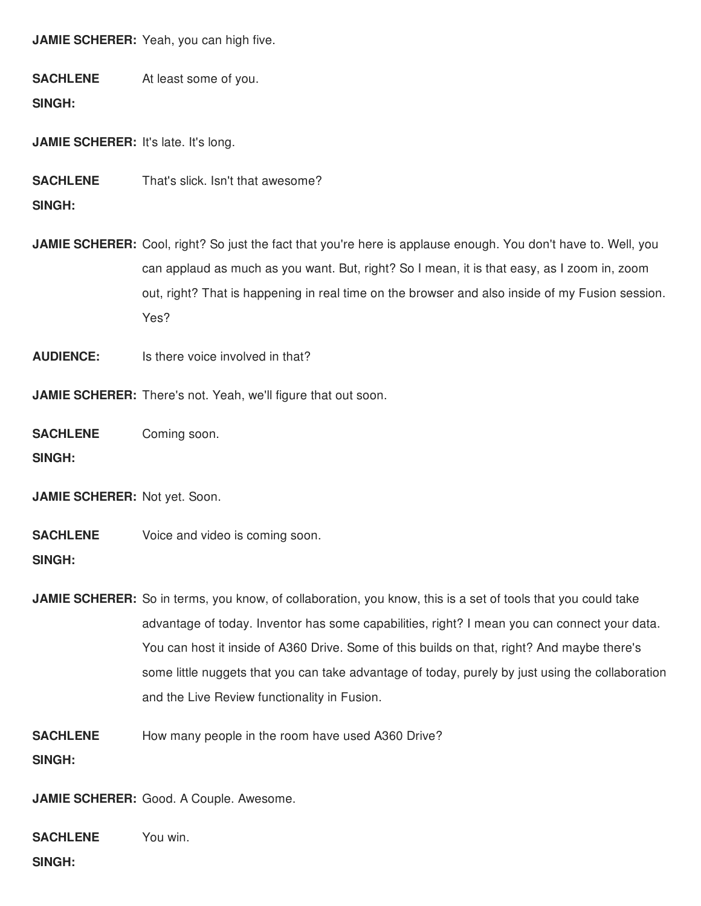**JAMIE SCHERER:** Yeah, you can high five.

**SACHLENE SINGH:** At least some of you.

**JAMIE SCHERER:** It's late. It's long.

**SACHLENE** That's slick. Isn't that awesome?

**SINGH:**

**JAMIE SCHERER:** Cool, right? So just the fact that you're here is applause enough. You don't have to. Well, you can applaud as much as you want. But, right? So I mean, it is that easy, as I zoom in, zoom out, right? That is happening in real time on the browser and also inside of my Fusion session. Yes?

**AUDIENCE:** Is there voice involved in that?

**JAMIE SCHERER:** There's not. Yeah, we'll figure that out soon.

**SACHLENE** Coming soon.

**SINGH:**

**JAMIE SCHERER:** Not yet. Soon.

**SACHLENE SINGH:** Voice and video is coming soon.

**JAMIE SCHERER:** So in terms, you know, of collaboration, you know, this is a set of tools that you could take advantage of today. Inventor has some capabilities, right? I mean you can connect your data. You can host it inside of A360 Drive. Some of this builds on that, right? And maybe there's some little nuggets that you can take advantage of today, purely by just using the collaboration and the Live Review functionality in Fusion.

**SACHLENE** How many people in the room have used A360 Drive?

**SINGH:**

**JAMIE SCHERER:** Good. A Couple. Awesome.

**SACHLENE** You win.

**SINGH:**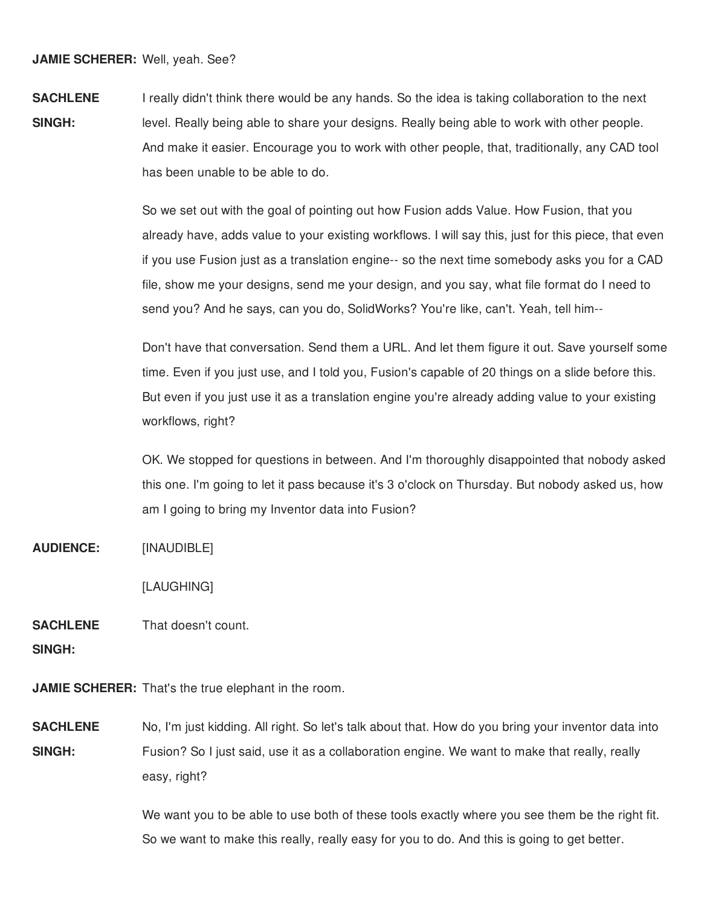**SACHLENE SINGH:** I really didn't think there would be any hands. So the idea is taking collaboration to the next level. Really being able to share your designs. Really being able to work with other people. And make it easier. Encourage you to work with other people, that, traditionally, any CAD tool has been unable to be able to do.

> So we set out with the goal of pointing out how Fusion adds Value. How Fusion, that you already have, adds value to your existing workflows. I will say this, just for this piece, that even if you use Fusion just as a translation engine-- so the next time somebody asks you for a CAD file, show me your designs, send me your design, and you say, what file format do I need to send you? And he says, can you do, SolidWorks? You're like, can't. Yeah, tell him--

> Don't have that conversation. Send them a URL. And let them figure it out. Save yourself some time. Even if you just use, and I told you, Fusion's capable of 20 things on a slide before this. But even if you just use it as a translation engine you're already adding value to your existing workflows, right?

> OK. We stopped for questions in between. And I'm thoroughly disappointed that nobody asked this one. I'm going to let it pass because it's 3 o'clock on Thursday. But nobody asked us, how am I going to bring my Inventor data into Fusion?

**AUDIENCE:** [INAUDIBLE]

[LAUGHING]

**SACHLENE** That doesn't count.

**SINGH:**

**JAMIE SCHERER:** That's the true elephant in the room.

**SACHLENE SINGH:** No, I'm just kidding. All right. So let's talk about that. How do you bring your inventor data into Fusion? So I just said, use it as a collaboration engine. We want to make that really, really easy, right?

> We want you to be able to use both of these tools exactly where you see them be the right fit. So we want to make this really, really easy for you to do. And this is going to get better.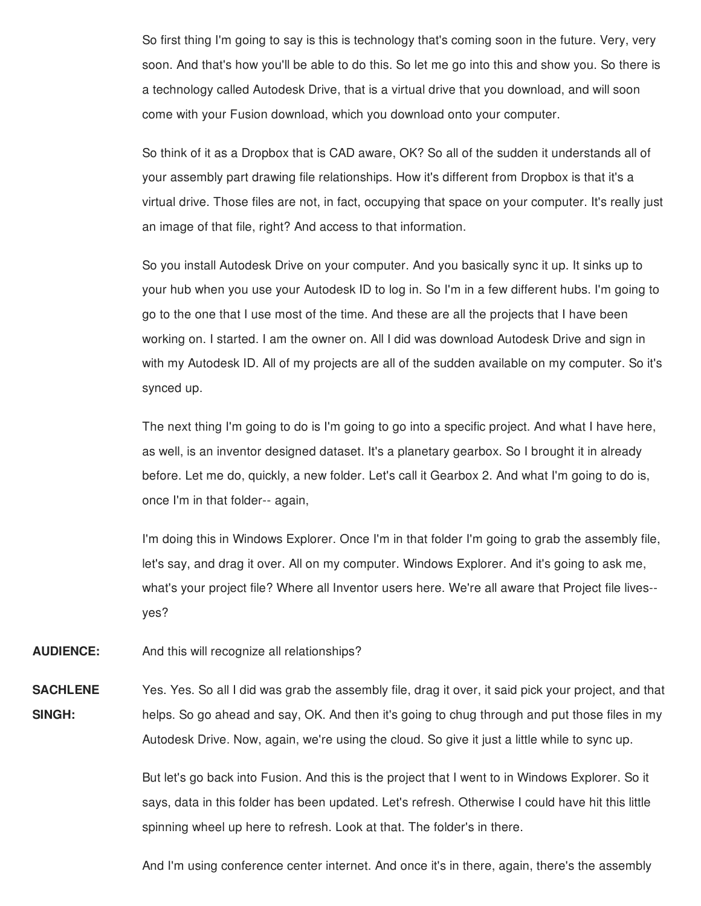So first thing I'm going to say is this is technology that's coming soon in the future. Very, very soon. And that's how you'll be able to do this. So let me go into this and show you. So there is a technology called Autodesk Drive, that is a virtual drive that you download, and will soon come with your Fusion download, which you download onto your computer.

So think of it as a Dropbox that is CAD aware, OK? So all of the sudden it understands all of your assembly part drawing file relationships. How it's different from Dropbox is that it's a virtual drive. Those files are not, in fact, occupying that space on your computer. It's really just an image of that file, right? And access to that information.

So you install Autodesk Drive on your computer. And you basically sync it up. It sinks up to your hub when you use your Autodesk ID to log in. So I'm in a few different hubs. I'm going to go to the one that I use most of the time. And these are all the projects that I have been working on. I started. I am the owner on. All I did was download Autodesk Drive and sign in with my Autodesk ID. All of my projects are all of the sudden available on my computer. So it's synced up.

The next thing I'm going to do is I'm going to go into a specific project. And what I have here, as well, is an inventor designed dataset. It's a planetary gearbox. So I brought it in already before. Let me do, quickly, a new folder. Let's call it Gearbox 2. And what I'm going to do is, once I'm in that folder-- again,

I'm doing this in Windows Explorer. Once I'm in that folder I'm going to grab the assembly file, let's say, and drag it over. All on my computer. Windows Explorer. And it's going to ask me, what's your project file? Where all Inventor users here. We're all aware that Project file lives- yes?

**AUDIENCE:** And this will recognize all relationships?

**SACHLENE SINGH:** Yes. Yes. So all I did was grab the assembly file, drag it over, it said pick your project, and that helps. So go ahead and say, OK. And then it's going to chug through and put those files in my Autodesk Drive. Now, again, we're using the cloud. So give it just a little while to sync up.

> But let's go back into Fusion. And this is the project that I went to in Windows Explorer. So it says, data in this folder has been updated. Let's refresh. Otherwise I could have hit this little spinning wheel up here to refresh. Look at that. The folder's in there.

> And I'm using conference center internet. And once it's in there, again, there's the assembly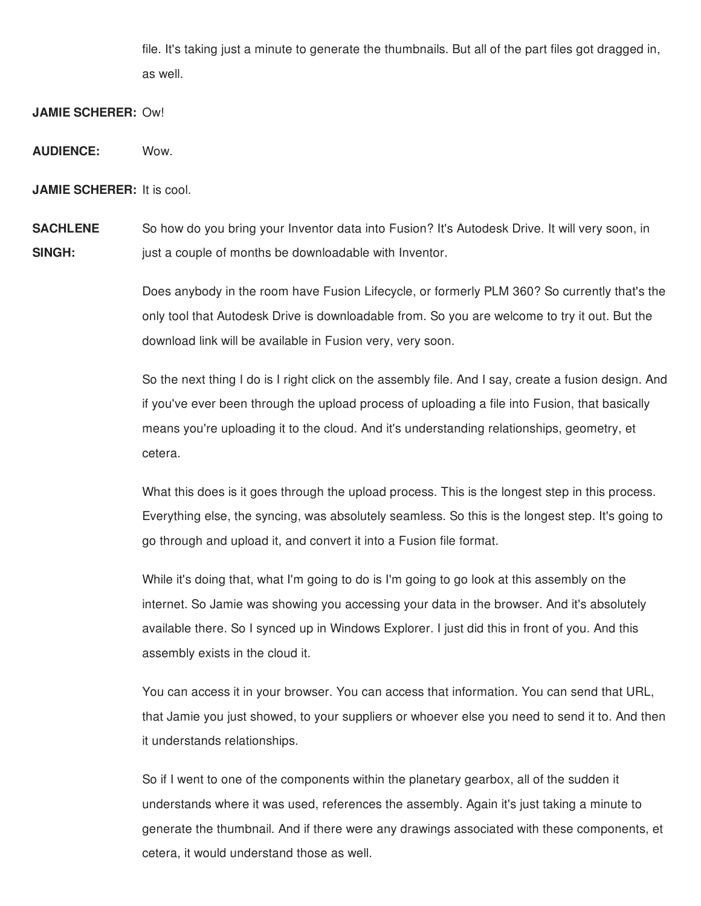file. It's taking just a minute to generate the thumbnails. But all of the part files got dragged in, as well.

**JAMIE SCHERER:** Ow!

**AUDIENCE:** Wow.

**JAMIE SCHERER:** It is cool.

**SACHLENE SINGH:** So how do you bring your Inventor data into Fusion? It's Autodesk Drive. It will very soon, in just a couple of months be downloadable with Inventor.

> Does anybody in the room have Fusion Lifecycle, or formerly PLM 360? So currently that's the only tool that Autodesk Drive is downloadable from. So you are welcome to try it out. But the download link will be available in Fusion very, very soon.

> So the next thing I do is I right click on the assembly file. And I say, create a fusion design. And if you've ever been through the upload process of uploading a file into Fusion, that basically means you're uploading it to the cloud. And it's understanding relationships, geometry, et cetera.

What this does is it goes through the upload process. This is the longest step in this process. Everything else, the syncing, was absolutely seamless. So this is the longest step. It's going to go through and upload it, and convert it into a Fusion file format.

While it's doing that, what I'm going to do is I'm going to go look at this assembly on the internet. So Jamie was showing you accessing your data in the browser. And it's absolutely available there. So I synced up in Windows Explorer. I just did this in front of you. And this assembly exists in the cloud it.

You can access it in your browser. You can access that information. You can send that URL, that Jamie you just showed, to your suppliers or whoever else you need to send it to. And then it understands relationships.

So if I went to one of the components within the planetary gearbox, all of the sudden it understands where it was used, references the assembly. Again it's just taking a minute to generate the thumbnail. And if there were any drawings associated with these components, et cetera, it would understand those as well.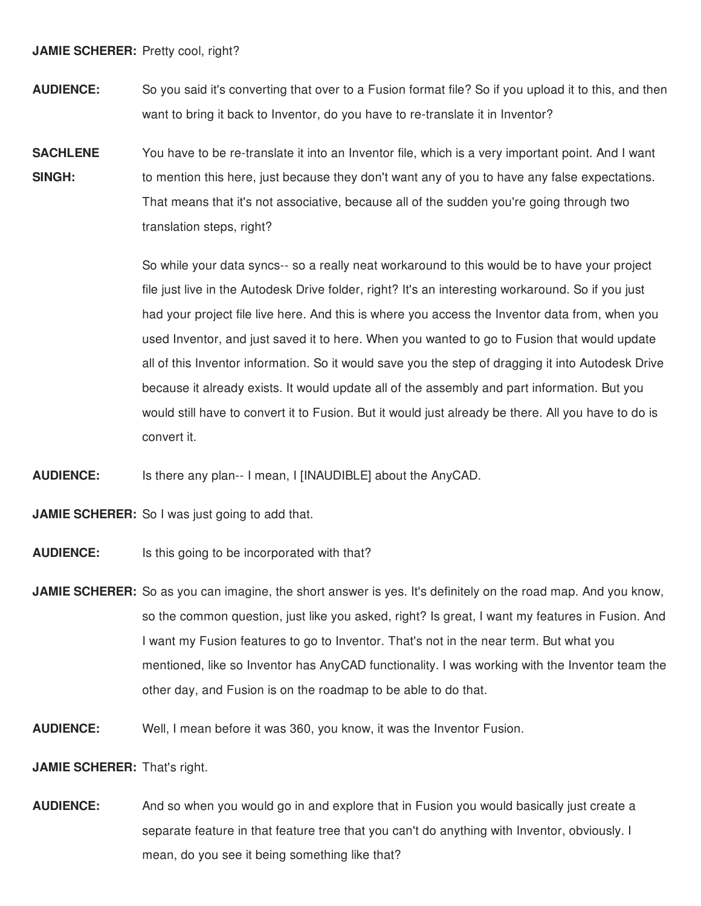## **JAMIE SCHERER:** Pretty cool, right?

- **AUDIENCE:** So you said it's converting that over to a Fusion format file? So if you upload it to this, and then want to bring it back to Inventor, do you have to re-translate it in Inventor?
- **SACHLENE SINGH:** You have to be re-translate it into an Inventor file, which is a very important point. And I want to mention this here, just because they don't want any of you to have any false expectations. That means that it's not associative, because all of the sudden you're going through two translation steps, right?

So while your data syncs-- so a really neat workaround to this would be to have your project file just live in the Autodesk Drive folder, right? It's an interesting workaround. So if you just had your project file live here. And this is where you access the Inventor data from, when you used Inventor, and just saved it to here. When you wanted to go to Fusion that would update all of this Inventor information. So it would save you the step of dragging it into Autodesk Drive because it already exists. It would update all of the assembly and part information. But you would still have to convert it to Fusion. But it would just already be there. All you have to do is convert it.

**AUDIENCE:** Is there any plan-- I mean, I [INAUDIBLE] about the AnyCAD.

**JAMIE SCHERER:** So I was just going to add that.

- **AUDIENCE:** Is this going to be incorporated with that?
- **JAMIE SCHERER:** So as you can imagine, the short answer is yes. It's definitely on the road map. And you know, so the common question, just like you asked, right? Is great, I want my features in Fusion. And I want my Fusion features to go to Inventor. That's not in the near term. But what you mentioned, like so Inventor has AnyCAD functionality. I was working with the Inventor team the other day, and Fusion is on the roadmap to be able to do that.
- **AUDIENCE:** Well, I mean before it was 360, you know, it was the Inventor Fusion.

**JAMIE SCHERER:** That's right.

**AUDIENCE:** And so when you would go in and explore that in Fusion you would basically just create a separate feature in that feature tree that you can't do anything with Inventor, obviously. I mean, do you see it being something like that?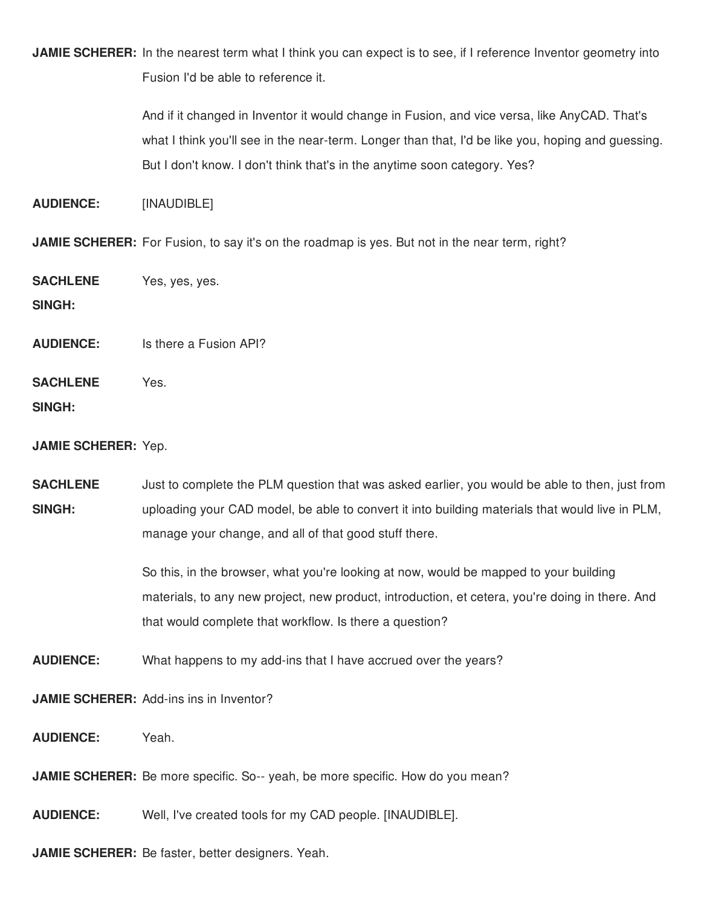**JAMIE SCHERER:** In the nearest term what I think you can expect is to see, if I reference Inventor geometry into Fusion I'd be able to reference it.

> And if it changed in Inventor it would change in Fusion, and vice versa, like AnyCAD. That's what I think you'll see in the near-term. Longer than that, I'd be like you, hoping and guessing. But I don't know. I don't think that's in the anytime soon category. Yes?

**AUDIENCE:** [INAUDIBLE]

**JAMIE SCHERER:** For Fusion, to say it's on the roadmap is yes. But not in the near term, right?

**SACHLENE** Yes, yes, yes.

**SINGH:**

**AUDIENCE:** Is there a Fusion API?

**SACHLENE** Yes.

**SINGH:**

## **JAMIE SCHERER:** Yep.

**SACHLENE SINGH:** Just to complete the PLM question that was asked earlier, you would be able to then, just from uploading your CAD model, be able to convert it into building materials that would live in PLM, manage your change, and all of that good stuff there.

> So this, in the browser, what you're looking at now, would be mapped to your building materials, to any new project, new product, introduction, et cetera, you're doing in there. And that would complete that workflow. Is there a question?

**AUDIENCE:** What happens to my add-ins that I have accrued over the years?

**JAMIE SCHERER:** Add-ins ins in Inventor?

**AUDIENCE:** Yeah.

**JAMIE SCHERER:** Be more specific. So-- yeah, be more specific. How do you mean?

**AUDIENCE:** Well, I've created tools for my CAD people. [INAUDIBLE].

**JAMIE SCHERER:** Be faster, better designers. Yeah.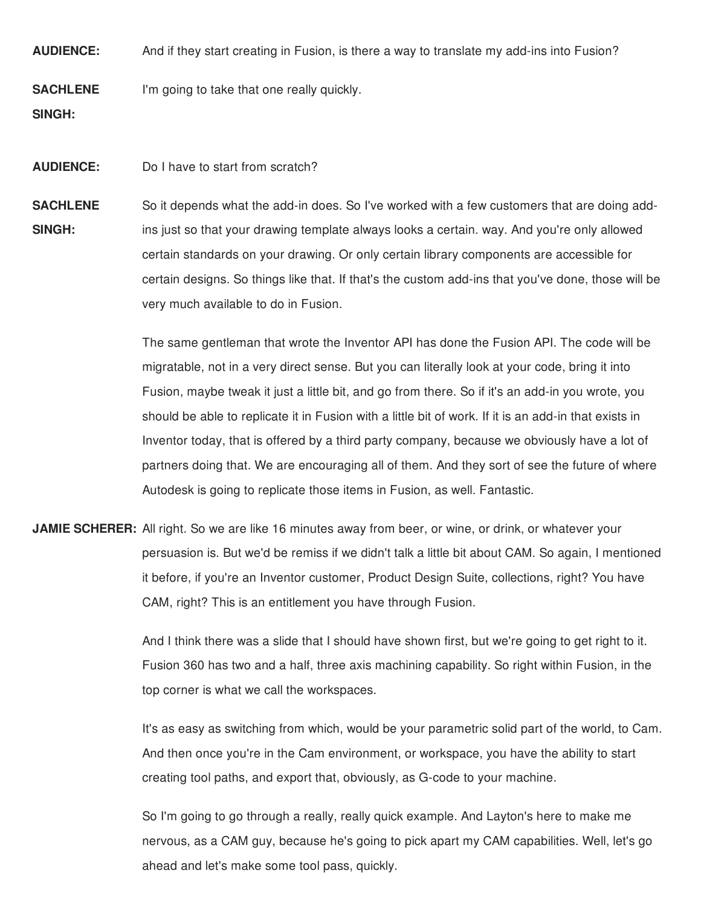**AUDIENCE:** And if they start creating in Fusion, is there a way to translate my add-ins into Fusion?

**SACHLENE** I'm going to take that one really quickly.

**SINGH:**

**AUDIENCE:** Do I have to start from scratch?

**SACHLENE SINGH:** So it depends what the add-in does. So I've worked with a few customers that are doing addins just so that your drawing template always looks a certain. way. And you're only allowed certain standards on your drawing. Or only certain library components are accessible for certain designs. So things like that. If that's the custom add-ins that you've done, those will be very much available to do in Fusion.

> The same gentleman that wrote the Inventor API has done the Fusion API. The code will be migratable, not in a very direct sense. But you can literally look at your code, bring it into Fusion, maybe tweak it just a little bit, and go from there. So if it's an add-in you wrote, you should be able to replicate it in Fusion with a little bit of work. If it is an add-in that exists in Inventor today, that is offered by a third party company, because we obviously have a lot of partners doing that. We are encouraging all of them. And they sort of see the future of where Autodesk is going to replicate those items in Fusion, as well. Fantastic.

**JAMIE SCHERER:** All right. So we are like 16 minutes away from beer, or wine, or drink, or whatever your persuasion is. But we'd be remiss if we didn't talk a little bit about CAM. So again, I mentioned it before, if you're an Inventor customer, Product Design Suite, collections, right? You have CAM, right? This is an entitlement you have through Fusion.

> And I think there was a slide that I should have shown first, but we're going to get right to it. Fusion 360 has two and a half, three axis machining capability. So right within Fusion, in the top corner is what we call the workspaces.

It's as easy as switching from which, would be your parametric solid part of the world, to Cam. And then once you're in the Cam environment, or workspace, you have the ability to start creating tool paths, and export that, obviously, as G-code to your machine.

So I'm going to go through a really, really quick example. And Layton's here to make me nervous, as a CAM guy, because he's going to pick apart my CAM capabilities. Well, let's go ahead and let's make some tool pass, quickly.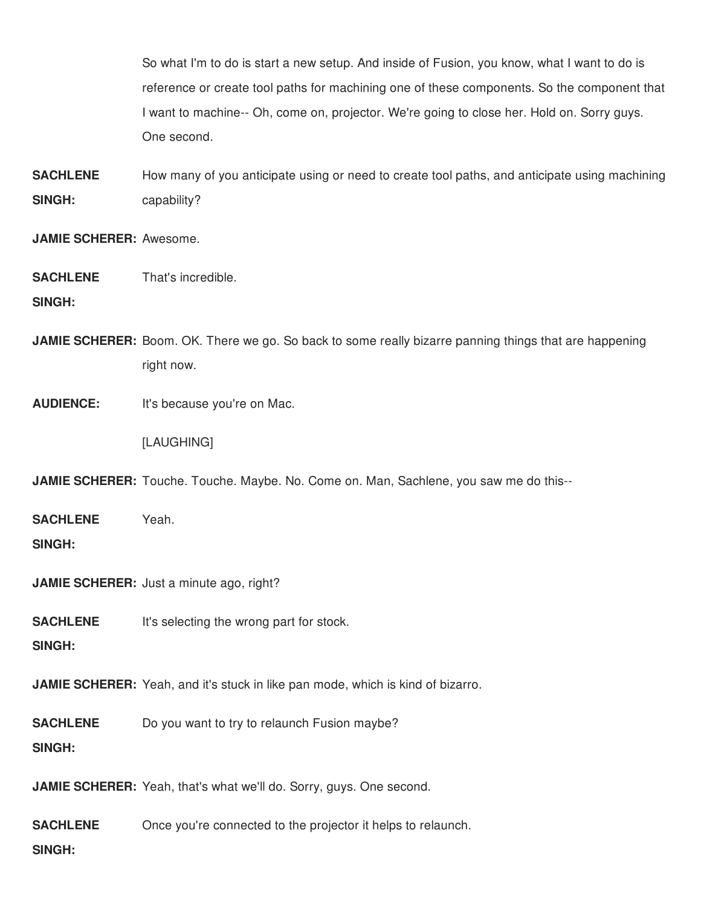So what I'm to do is start a new setup. And inside of Fusion, you know, what I want to do is reference or create tool paths for machining one of these components. So the component that I want to machine-- Oh, come on, projector. We're going to close her. Hold on. Sorry guys. One second.

**SACHLENE SINGH:** How many of you anticipate using or need to create tool paths, and anticipate using machining capability?

**JAMIE SCHERER:** Awesome.

**SACHLENE** That's incredible.

**SINGH:**

**JAMIE SCHERER:** Boom. OK. There we go. So back to some really bizarre panning things that are happening right now.

**AUDIENCE:** It's because you're on Mac.

[LAUGHING]

**JAMIE SCHERER:** Touche. Touche. Maybe. No. Come on. Man, Sachlene, you saw me do this--

| <b>SACHLENE</b> | Yeah. |
|-----------------|-------|
| <b>SINGH:</b>   |       |

**JAMIE SCHERER:** Just a minute ago, right?

**SACHLENE** It's selecting the wrong part for stock.

**SINGH:**

**JAMIE SCHERER:** Yeah, and it's stuck in like pan mode, which is kind of bizarro.

**SACHLENE** Do you want to try to relaunch Fusion maybe?

**SINGH:**

**JAMIE SCHERER:** Yeah, that's what we'll do. Sorry, guys. One second.

**SACHLENE** Once you're connected to the projector it helps to relaunch.

**SINGH:**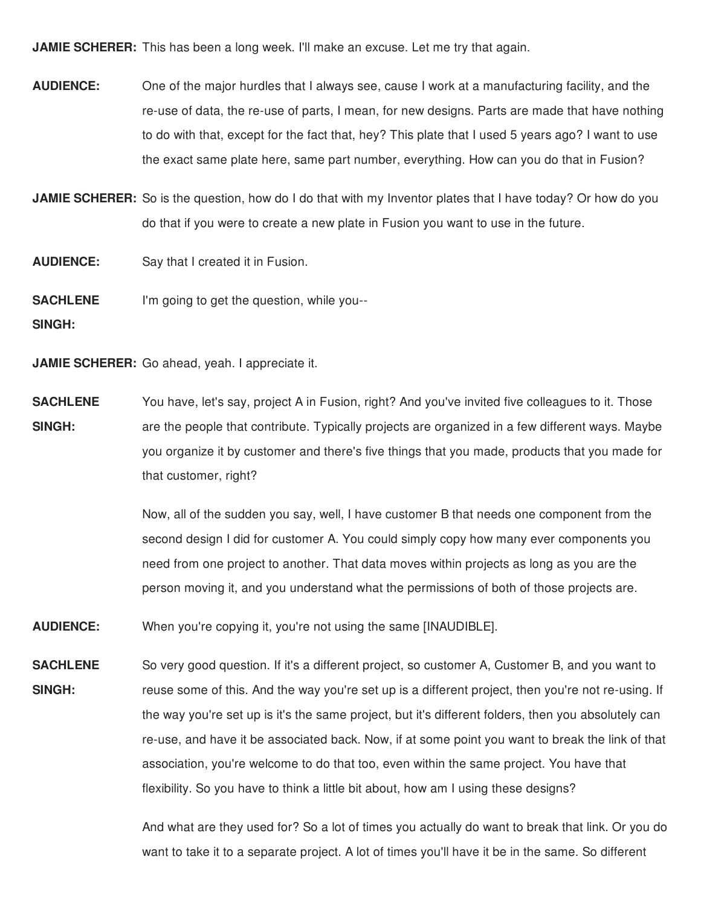**JAMIE SCHERER:** This has been a long week. I'll make an excuse. Let me try that again.

- **AUDIENCE:** One of the major hurdles that I always see, cause I work at a manufacturing facility, and the re-use of data, the re-use of parts, I mean, for new designs. Parts are made that have nothing to do with that, except for the fact that, hey? This plate that I used 5 years ago? I want to use the exact same plate here, same part number, everything. How can you do that in Fusion?
- **JAMIE SCHERER:** So is the question, how do I do that with my Inventor plates that I have today? Or how do you do that if you were to create a new plate in Fusion you want to use in the future.

**AUDIENCE:** Say that I created it in Fusion.

**SACHLENE** I'm going to get the question, while you--

**SINGH:**

**JAMIE SCHERER:** Go ahead, yeah. I appreciate it.

**SACHLENE SINGH:** You have, let's say, project A in Fusion, right? And you've invited five colleagues to it. Those are the people that contribute. Typically projects are organized in a few different ways. Maybe you organize it by customer and there's five things that you made, products that you made for that customer, right?

> Now, all of the sudden you say, well, I have customer B that needs one component from the second design I did for customer A. You could simply copy how many ever components you need from one project to another. That data moves within projects as long as you are the person moving it, and you understand what the permissions of both of those projects are.

**AUDIENCE:** When you're copying it, you're not using the same [INAUDIBLE].

**SACHLENE SINGH:** So very good question. If it's a different project, so customer A, Customer B, and you want to reuse some of this. And the way you're set up is a different project, then you're not re-using. If the way you're set up is it's the same project, but it's different folders, then you absolutely can re-use, and have it be associated back. Now, if at some point you want to break the link of that association, you're welcome to do that too, even within the same project. You have that flexibility. So you have to think a little bit about, how am I using these designs?

> And what are they used for? So a lot of times you actually do want to break that link. Or you do want to take it to a separate project. A lot of times you'll have it be in the same. So different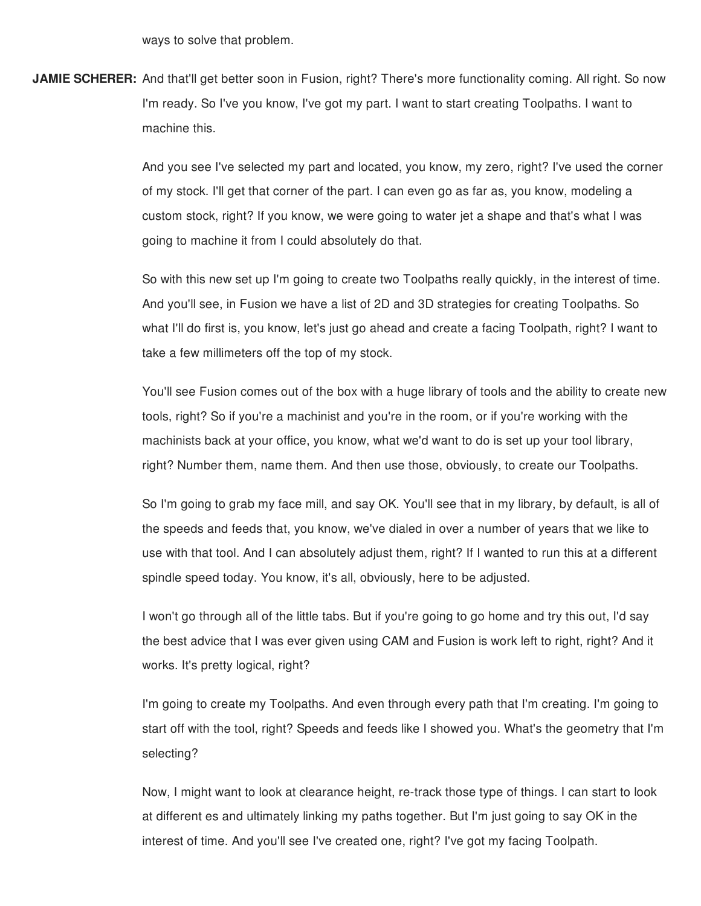ways to solve that problem.

**JAMIE SCHERER:** And that'll get better soon in Fusion, right? There's more functionality coming. All right. So now I'm ready. So I've you know, I've got my part. I want to start creating Toolpaths. I want to machine this.

> And you see I've selected my part and located, you know, my zero, right? I've used the corner of my stock. I'll get that corner of the part. I can even go as far as, you know, modeling a custom stock, right? If you know, we were going to water jet a shape and that's what I was going to machine it from I could absolutely do that.

> So with this new set up I'm going to create two Toolpaths really quickly, in the interest of time. And you'll see, in Fusion we have a list of 2D and 3D strategies for creating Toolpaths. So what I'll do first is, you know, let's just go ahead and create a facing Toolpath, right? I want to take a few millimeters off the top of my stock.

You'll see Fusion comes out of the box with a huge library of tools and the ability to create new tools, right? So if you're a machinist and you're in the room, or if you're working with the machinists back at your office, you know, what we'd want to do is set up your tool library, right? Number them, name them. And then use those, obviously, to create our Toolpaths.

So I'm going to grab my face mill, and say OK. You'll see that in my library, by default, is all of the speeds and feeds that, you know, we've dialed in over a number of years that we like to use with that tool. And I can absolutely adjust them, right? If I wanted to run this at a different spindle speed today. You know, it's all, obviously, here to be adjusted.

I won't go through all of the little tabs. But if you're going to go home and try this out, I'd say the best advice that I was ever given using CAM and Fusion is work left to right, right? And it works. It's pretty logical, right?

I'm going to create my Toolpaths. And even through every path that I'm creating. I'm going to start off with the tool, right? Speeds and feeds like I showed you. What's the geometry that I'm selecting?

Now, I might want to look at clearance height, re-track those type of things. I can start to look at different es and ultimately linking my paths together. But I'm just going to say OK in the interest of time. And you'll see I've created one, right? I've got my facing Toolpath.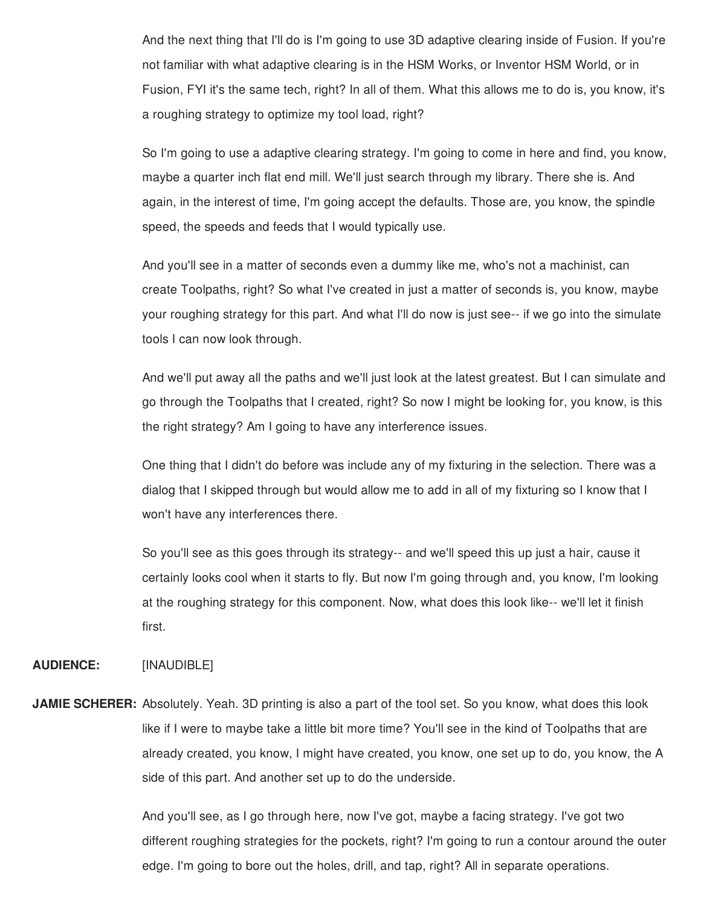And the next thing that I'll do is I'm going to use 3D adaptive clearing inside of Fusion. If you're not familiar with what adaptive clearing is in the HSM Works, or Inventor HSM World, or in Fusion, FYI it's the same tech, right? In all of them. What this allows me to do is, you know, it's a roughing strategy to optimize my tool load, right?

So I'm going to use a adaptive clearing strategy. I'm going to come in here and find, you know, maybe a quarter inch flat end mill. We'll just search through my library. There she is. And again, in the interest of time, I'm going accept the defaults. Those are, you know, the spindle speed, the speeds and feeds that I would typically use.

And you'll see in a matter of seconds even a dummy like me, who's not a machinist, can create Toolpaths, right? So what I've created in just a matter of seconds is, you know, maybe your roughing strategy for this part. And what I'll do now is just see-- if we go into the simulate tools I can now look through.

And we'll put away all the paths and we'll just look at the latest greatest. But I can simulate and go through the Toolpaths that I created, right? So now I might be looking for, you know, is this the right strategy? Am I going to have any interference issues.

One thing that I didn't do before was include any of my fixturing in the selection. There was a dialog that I skipped through but would allow me to add in all of my fixturing so I know that I won't have any interferences there.

So you'll see as this goes through its strategy-- and we'll speed this up just a hair, cause it certainly looks cool when it starts to fly. But now I'm going through and, you know, I'm looking at the roughing strategy for this component. Now, what does this look like-- we'll let it finish first.

#### **AUDIENCE:** [INAUDIBLE]

**JAMIE SCHERER:** Absolutely. Yeah. 3D printing is also a part of the tool set. So you know, what does this look like if I were to maybe take a little bit more time? You'll see in the kind of Toolpaths that are already created, you know, I might have created, you know, one set up to do, you know, the A side of this part. And another set up to do the underside.

> And you'll see, as I go through here, now I've got, maybe a facing strategy. I've got two different roughing strategies for the pockets, right? I'm going to run a contour around the outer edge. I'm going to bore out the holes, drill, and tap, right? All in separate operations.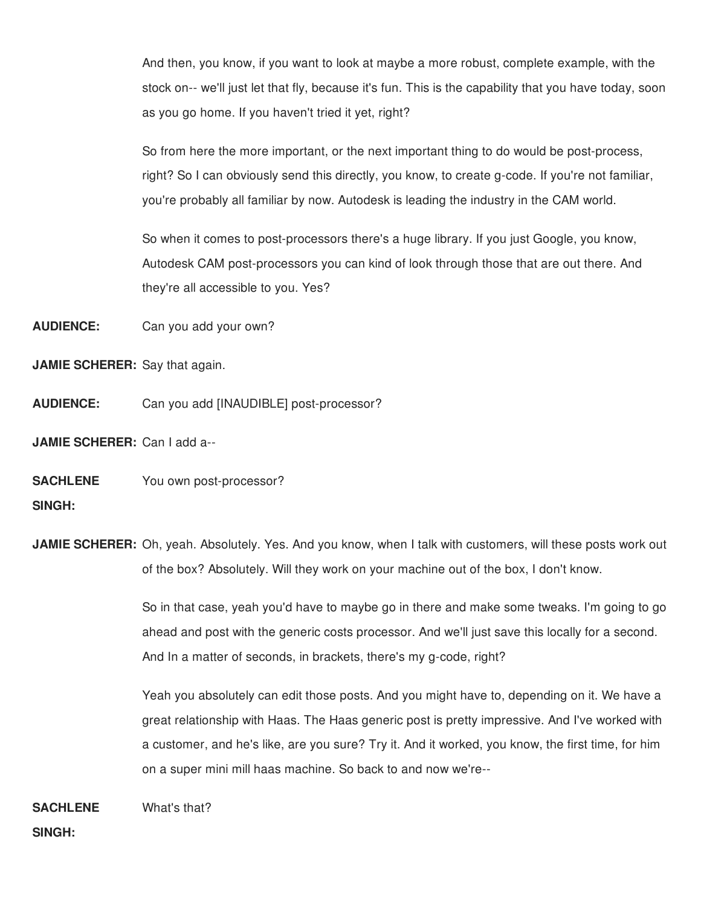And then, you know, if you want to look at maybe a more robust, complete example, with the stock on-- we'll just let that fly, because it's fun. This is the capability that you have today, soon as you go home. If you haven't tried it yet, right?

So from here the more important, or the next important thing to do would be post-process, right? So I can obviously send this directly, you know, to create g-code. If you're not familiar, you're probably all familiar by now. Autodesk is leading the industry in the CAM world.

So when it comes to post-processors there's a huge library. If you just Google, you know, Autodesk CAM post-processors you can kind of look through those that are out there. And they're all accessible to you. Yes?

**AUDIENCE:** Can you add your own?

**JAMIE SCHERER:** Say that again.

**AUDIENCE:** Can you add [INAUDIBLE] post-processor?

**JAMIE SCHERER:** Can I add a--

**SACHLENE SINGH:** You own post-processor?

**JAMIE SCHERER:** Oh, yeah. Absolutely. Yes. And you know, when I talk with customers, will these posts work out of the box? Absolutely. Will they work on your machine out of the box, I don't know.

> So in that case, yeah you'd have to maybe go in there and make some tweaks. I'm going to go ahead and post with the generic costs processor. And we'll just save this locally for a second. And In a matter of seconds, in brackets, there's my g-code, right?

> Yeah you absolutely can edit those posts. And you might have to, depending on it. We have a great relationship with Haas. The Haas generic post is pretty impressive. And I've worked with a customer, and he's like, are you sure? Try it. And it worked, you know, the first time, for him on a super mini mill haas machine. So back to and now we're--

**SACHLENE SINGH:** What's that?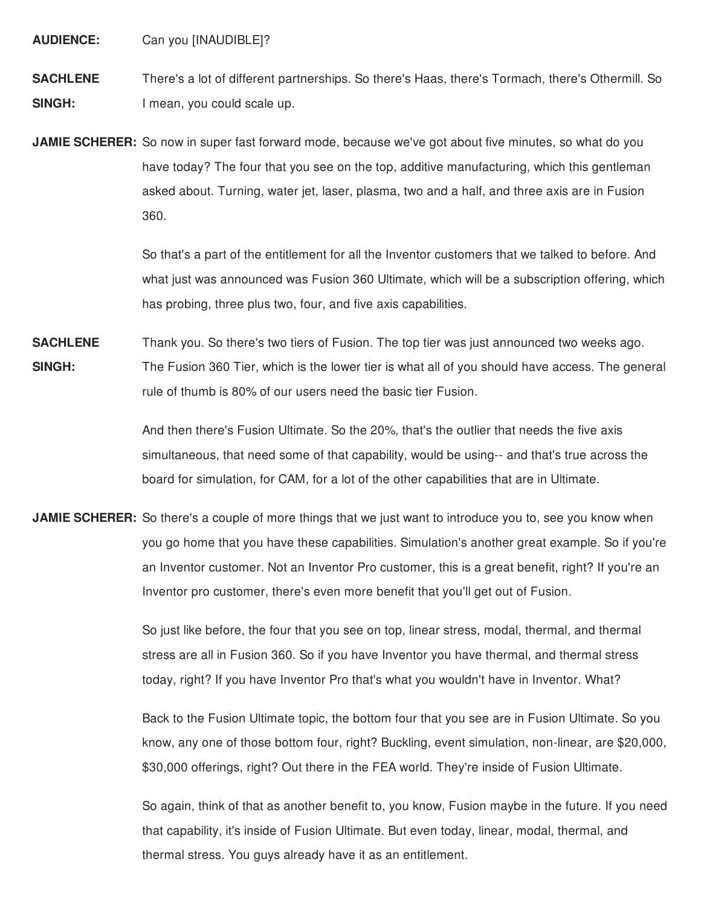**AUDIENCE:** Can you [INAUDIBLE]?

**SACHLENE SINGH:** There's a lot of different partnerships. So there's Haas, there's Tormach, there's Othermill. So I mean, you could scale up.

**JAMIE SCHERER:** So now in super fast forward mode, because we've got about five minutes, so what do you have today? The four that you see on the top, additive manufacturing, which this gentleman asked about. Turning, water jet, laser, plasma, two and a half, and three axis are in Fusion 360.

> So that's a part of the entitlement for all the Inventor customers that we talked to before. And what just was announced was Fusion 360 Ultimate, which will be a subscription offering, which has probing, three plus two, four, and five axis capabilities.

**SACHLENE SINGH:** Thank you. So there's two tiers of Fusion. The top tier was just announced two weeks ago. The Fusion 360 Tier, which is the lower tier is what all of you should have access. The general rule of thumb is 80% of our users need the basic tier Fusion.

> And then there's Fusion Ultimate. So the 20%, that's the outlier that needs the five axis simultaneous, that need some of that capability, would be using-- and that's true across the board for simulation, for CAM, for a lot of the other capabilities that are in Ultimate.

**JAMIE SCHERER:** So there's a couple of more things that we just want to introduce you to, see you know when you go home that you have these capabilities. Simulation's another great example. So if you're an Inventor customer. Not an Inventor Pro customer, this is a great benefit, right? If you're an Inventor pro customer, there's even more benefit that you'll get out of Fusion.

> So just like before, the four that you see on top, linear stress, modal, thermal, and thermal stress are all in Fusion 360. So if you have Inventor you have thermal, and thermal stress today, right? If you have Inventor Pro that's what you wouldn't have in Inventor. What?

Back to the Fusion Ultimate topic, the bottom four that you see are in Fusion Ultimate. So you know, any one of those bottom four, right? Buckling, event simulation, non-linear, are \$20,000, \$30,000 offerings, right? Out there in the FEA world. They're inside of Fusion Ultimate.

So again, think of that as another benefit to, you know, Fusion maybe in the future. If you need that capability, it's inside of Fusion Ultimate. But even today, linear, modal, thermal, and thermal stress. You guys already have it as an entitlement.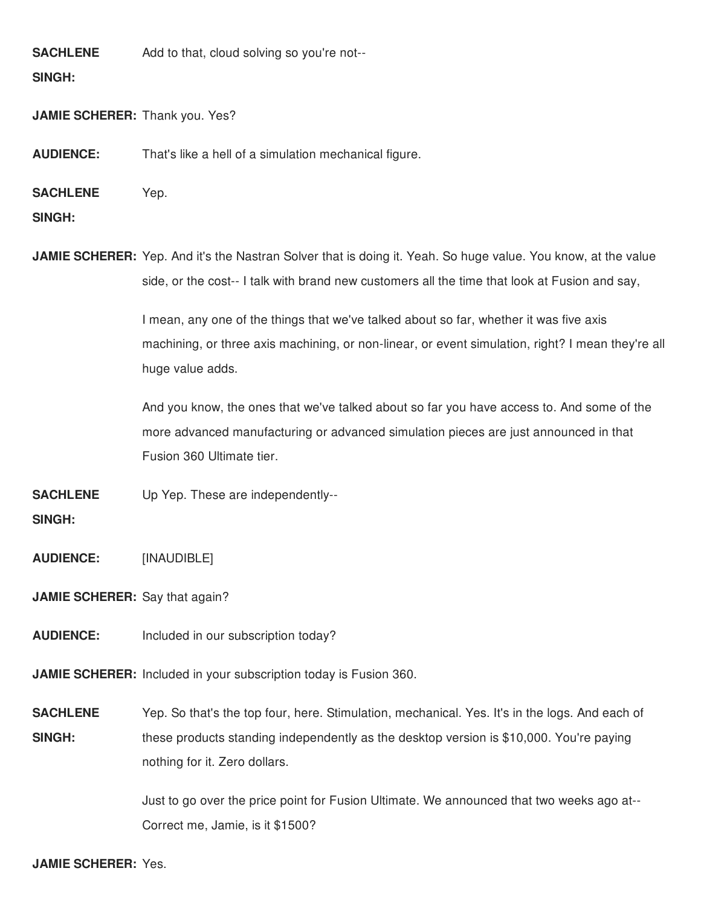**SACHLENE** Add to that, cloud solving so you're not--

## **SINGH:**

**JAMIE SCHERER:** Thank you. Yes?

**AUDIENCE:** That's like a hell of a simulation mechanical figure.

**SACHLENE** Yep.

**SINGH:**

**JAMIE SCHERER:** Yep. And it's the Nastran Solver that is doing it. Yeah. So huge value. You know, at the value side, or the cost-- I talk with brand new customers all the time that look at Fusion and say,

> I mean, any one of the things that we've talked about so far, whether it was five axis machining, or three axis machining, or non-linear, or event simulation, right? I mean they're all huge value adds.

And you know, the ones that we've talked about so far you have access to. And some of the more advanced manufacturing or advanced simulation pieces are just announced in that Fusion 360 Ultimate tier.

**SACHLENE** Up Yep. These are independently--

**SINGH:**

**AUDIENCE:** [INAUDIBLE]

**JAMIE SCHERER:** Say that again?

**AUDIENCE:** Included in our subscription today?

**JAMIE SCHERER:** Included in your subscription today is Fusion 360.

**SACHLENE SINGH:** Yep. So that's the top four, here. Stimulation, mechanical. Yes. It's in the logs. And each of these products standing independently as the desktop version is \$10,000. You're paying nothing for it. Zero dollars.

> Just to go over the price point for Fusion Ultimate. We announced that two weeks ago at-- Correct me, Jamie, is it \$1500?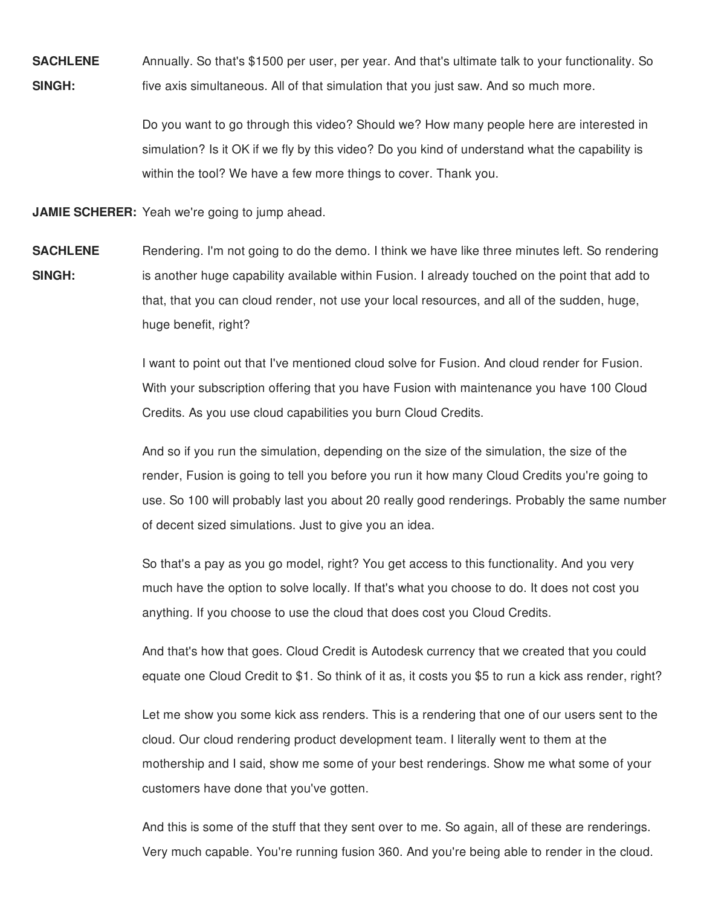**SACHLENE SINGH:** Annually. So that's \$1500 per user, per year. And that's ultimate talk to your functionality. So five axis simultaneous. All of that simulation that you just saw. And so much more.

> Do you want to go through this video? Should we? How many people here are interested in simulation? Is it OK if we fly by this video? Do you kind of understand what the capability is within the tool? We have a few more things to cover. Thank you.

**JAMIE SCHERER:** Yeah we're going to jump ahead.

**SACHLENE SINGH:** Rendering. I'm not going to do the demo. I think we have like three minutes left. So rendering is another huge capability available within Fusion. I already touched on the point that add to that, that you can cloud render, not use your local resources, and all of the sudden, huge, huge benefit, right?

> I want to point out that I've mentioned cloud solve for Fusion. And cloud render for Fusion. With your subscription offering that you have Fusion with maintenance you have 100 Cloud Credits. As you use cloud capabilities you burn Cloud Credits.

And so if you run the simulation, depending on the size of the simulation, the size of the render, Fusion is going to tell you before you run it how many Cloud Credits you're going to use. So 100 will probably last you about 20 really good renderings. Probably the same number of decent sized simulations. Just to give you an idea.

So that's a pay as you go model, right? You get access to this functionality. And you very much have the option to solve locally. If that's what you choose to do. It does not cost you anything. If you choose to use the cloud that does cost you Cloud Credits.

And that's how that goes. Cloud Credit is Autodesk currency that we created that you could equate one Cloud Credit to \$1. So think of it as, it costs you \$5 to run a kick ass render, right?

Let me show you some kick ass renders. This is a rendering that one of our users sent to the cloud. Our cloud rendering product development team. I literally went to them at the mothership and I said, show me some of your best renderings. Show me what some of your customers have done that you've gotten.

And this is some of the stuff that they sent over to me. So again, all of these are renderings. Very much capable. You're running fusion 360. And you're being able to render in the cloud.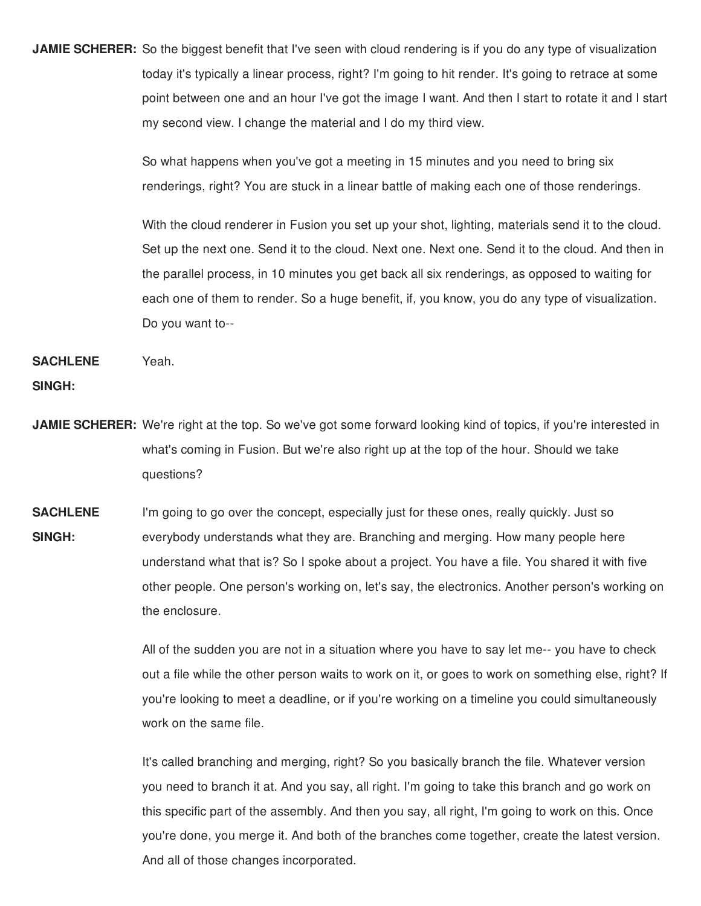**JAMIE SCHERER:** So the biggest benefit that I've seen with cloud rendering is if you do any type of visualization today it's typically a linear process, right? I'm going to hit render. It's going to retrace at some point between one and an hour I've got the image I want. And then I start to rotate it and I start my second view. I change the material and I do my third view.

> So what happens when you've got a meeting in 15 minutes and you need to bring six renderings, right? You are stuck in a linear battle of making each one of those renderings.

With the cloud renderer in Fusion you set up your shot, lighting, materials send it to the cloud. Set up the next one. Send it to the cloud. Next one. Next one. Send it to the cloud. And then in the parallel process, in 10 minutes you get back all six renderings, as opposed to waiting for each one of them to render. So a huge benefit, if, you know, you do any type of visualization. Do you want to--

**SACHLENE SINGH:** Yeah.

- **JAMIE SCHERER:** We're right at the top. So we've got some forward looking kind of topics, if you're interested in what's coming in Fusion. But we're also right up at the top of the hour. Should we take questions?
- **SACHLENE SINGH:** I'm going to go over the concept, especially just for these ones, really quickly. Just so everybody understands what they are. Branching and merging. How many people here understand what that is? So I spoke about a project. You have a file. You shared it with five other people. One person's working on, let's say, the electronics. Another person's working on the enclosure.

All of the sudden you are not in a situation where you have to say let me-- you have to check out a file while the other person waits to work on it, or goes to work on something else, right? If you're looking to meet a deadline, or if you're working on a timeline you could simultaneously work on the same file.

It's called branching and merging, right? So you basically branch the file. Whatever version you need to branch it at. And you say, all right. I'm going to take this branch and go work on this specific part of the assembly. And then you say, all right, I'm going to work on this. Once you're done, you merge it. And both of the branches come together, create the latest version. And all of those changes incorporated.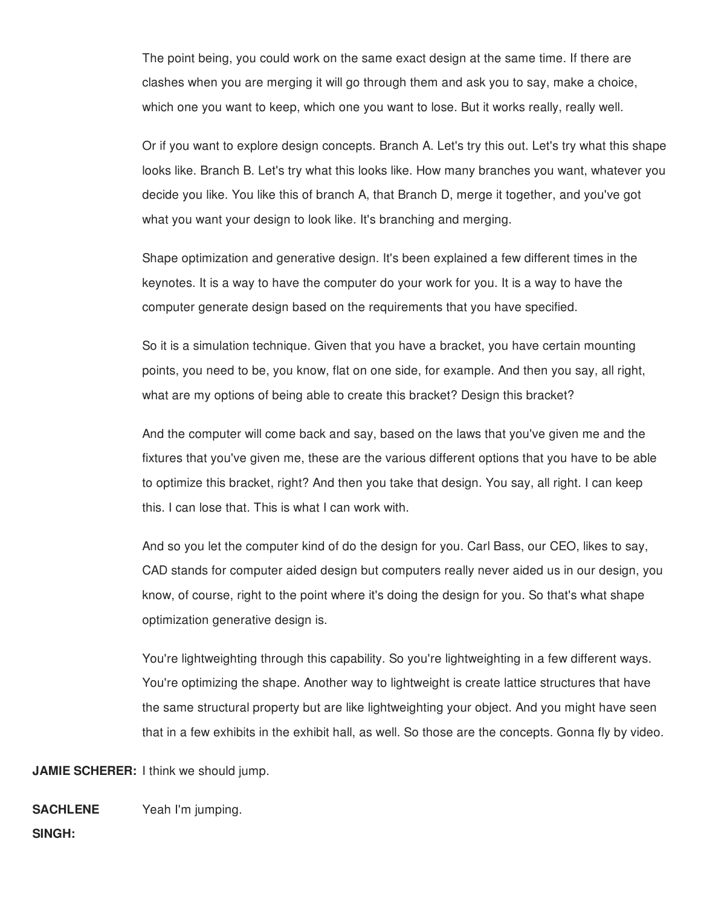The point being, you could work on the same exact design at the same time. If there are clashes when you are merging it will go through them and ask you to say, make a choice, which one you want to keep, which one you want to lose. But it works really, really well.

Or if you want to explore design concepts. Branch A. Let's try this out. Let's try what this shape looks like. Branch B. Let's try what this looks like. How many branches you want, whatever you decide you like. You like this of branch A, that Branch D, merge it together, and you've got what you want your design to look like. It's branching and merging.

Shape optimization and generative design. It's been explained a few different times in the keynotes. It is a way to have the computer do your work for you. It is a way to have the computer generate design based on the requirements that you have specified.

So it is a simulation technique. Given that you have a bracket, you have certain mounting points, you need to be, you know, flat on one side, for example. And then you say, all right, what are my options of being able to create this bracket? Design this bracket?

And the computer will come back and say, based on the laws that you've given me and the fixtures that you've given me, these are the various different options that you have to be able to optimize this bracket, right? And then you take that design. You say, all right. I can keep this. I can lose that. This is what I can work with.

And so you let the computer kind of do the design for you. Carl Bass, our CEO, likes to say, CAD stands for computer aided design but computers really never aided us in our design, you know, of course, right to the point where it's doing the design for you. So that's what shape optimization generative design is.

You're lightweighting through this capability. So you're lightweighting in a few different ways. You're optimizing the shape. Another way to lightweight is create lattice structures that have the same structural property but are like lightweighting your object. And you might have seen that in a few exhibits in the exhibit hall, as well. So those are the concepts. Gonna fly by video.

**JAMIE SCHERER:** I think we should jump.

**SACHLENE** Yeah I'm jumping.

**SINGH:**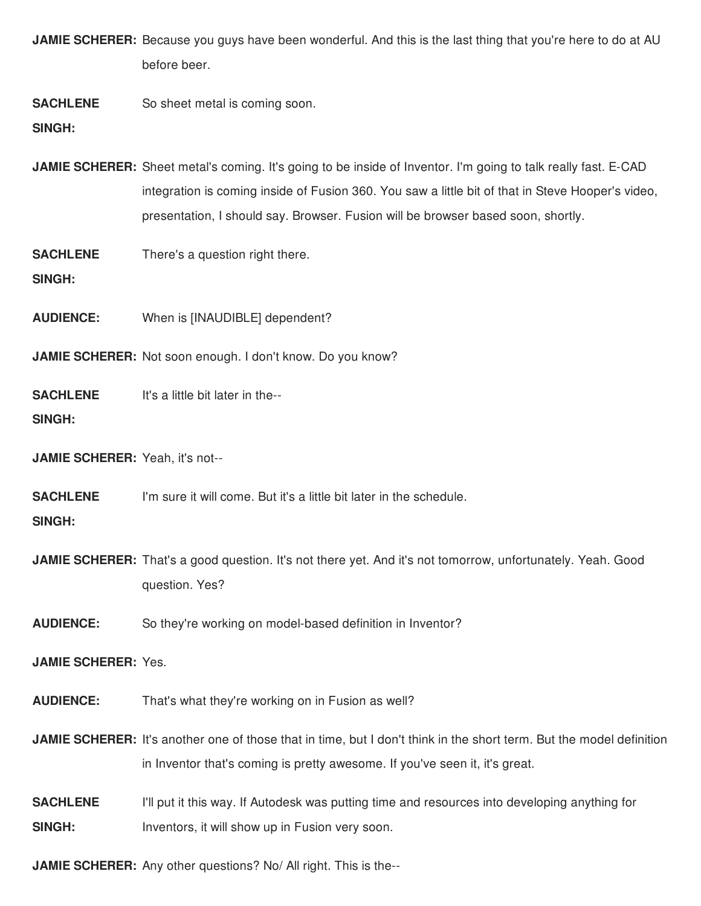**JAMIE SCHERER:** Because you guys have been wonderful. And this is the last thing that you're here to do at AU before beer.

**SACHLENE** So sheet metal is coming soon.

**SINGH:**

**JAMIE SCHERER:** Sheet metal's coming. It's going to be inside of Inventor. I'm going to talk really fast. E-CAD integration is coming inside of Fusion 360. You saw a little bit of that in Steve Hooper's video, presentation, I should say. Browser. Fusion will be browser based soon, shortly.

**SACHLENE** There's a question right there.

**SINGH:**

**AUDIENCE:** When is [INAUDIBLE] dependent?

**JAMIE SCHERER:** Not soon enough. I don't know. Do you know?

**SACHLENE SINGH:** It's a little bit later in the--

**JAMIE SCHERER:** Yeah, it's not--

**SACHLENE** I'm sure it will come. But it's a little bit later in the schedule.

# **SINGH:**

**JAMIE SCHERER:** That's a good question. It's not there yet. And it's not tomorrow, unfortunately. Yeah. Good question. Yes?

**AUDIENCE:** So they're working on model-based definition in Inventor?

## **JAMIE SCHERER:** Yes.

**AUDIENCE:** That's what they're working on in Fusion as well?

**JAMIE SCHERER:** It's another one of those that in time, but I don't think in the short term. But the model definition in Inventor that's coming is pretty awesome. If you've seen it, it's great.

**SACHLENE SINGH:** I'll put it this way. If Autodesk was putting time and resources into developing anything for Inventors, it will show up in Fusion very soon.

**JAMIE SCHERER:** Any other questions? No/ All right. This is the--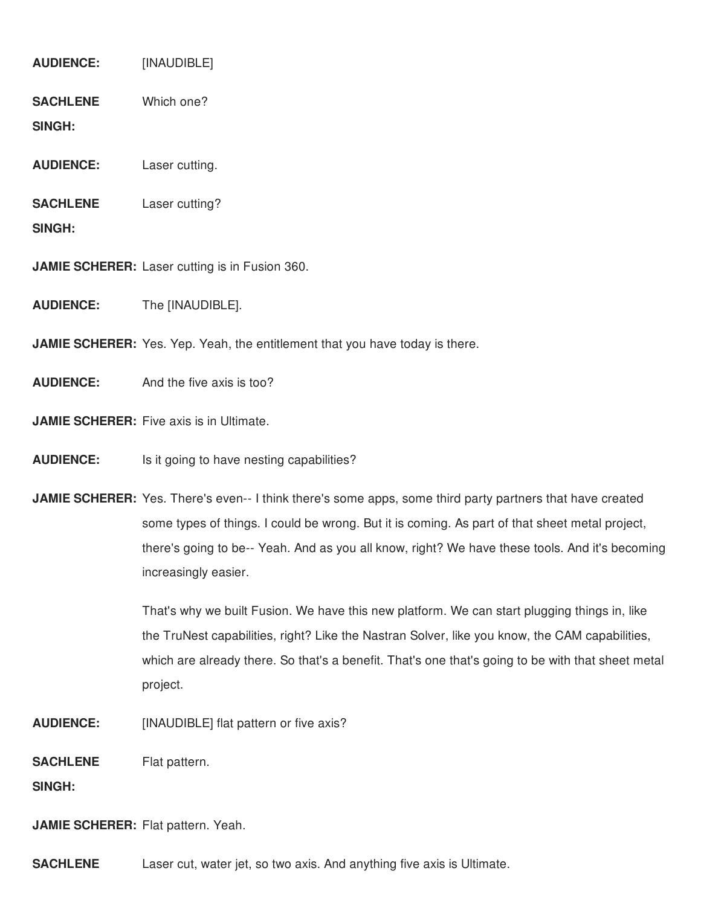**AUDIENCE:** [INAUDIBLE]

**SACHLENE** Which one?

**SINGH:**

- **AUDIENCE:** Laser cutting.
- **SACHLENE** Laser cutting?

**SINGH:**

**JAMIE SCHERER:** Laser cutting is in Fusion 360.

**AUDIENCE:** The [INAUDIBLE].

**JAMIE SCHERER:** Yes. Yep. Yeah, the entitlement that you have today is there.

**AUDIENCE:** And the five axis is too?

**JAMIE SCHERER:** Five axis is in Ultimate.

**AUDIENCE:** Is it going to have nesting capabilities?

**JAMIE SCHERER:** Yes. There's even-- I think there's some apps, some third party partners that have created some types of things. I could be wrong. But it is coming. As part of that sheet metal project, there's going to be-- Yeah. And as you all know, right? We have these tools. And it's becoming increasingly easier.

> That's why we built Fusion. We have this new platform. We can start plugging things in, like the TruNest capabilities, right? Like the Nastran Solver, like you know, the CAM capabilities, which are already there. So that's a benefit. That's one that's going to be with that sheet metal project.

**AUDIENCE:** [INAUDIBLE] flat pattern or five axis?

**SACHLENE** Flat pattern.

**SINGH:**

**JAMIE SCHERER:** Flat pattern. Yeah.

**SACHLENE** Laser cut, water jet, so two axis. And anything five axis is Ultimate.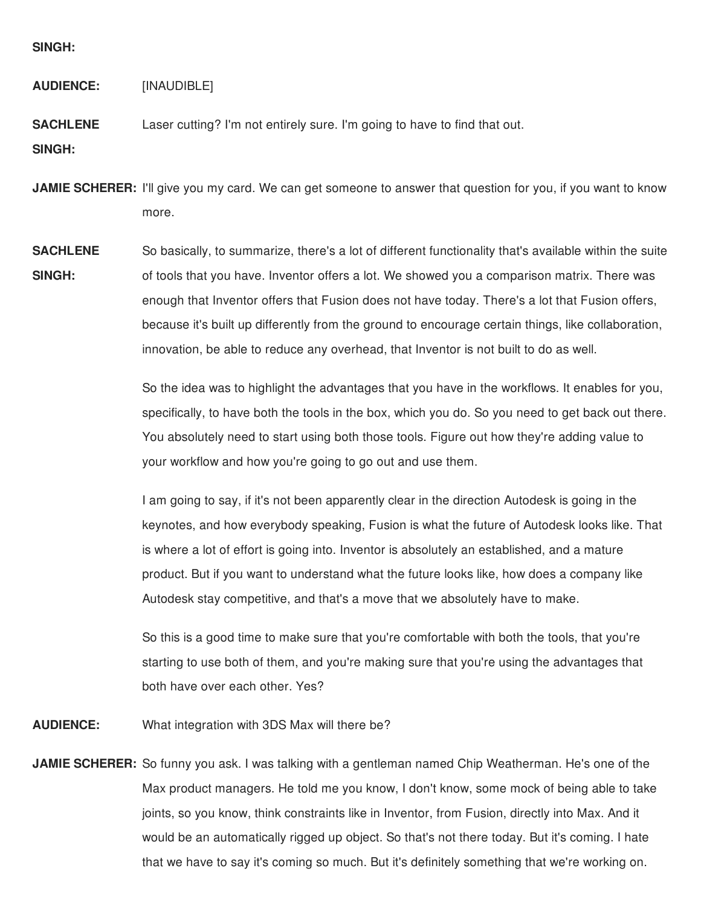## **SINGH:**

**AUDIENCE:** [INAUDIBLE]

**SACHLENE** Laser cutting? I'm not entirely sure. I'm going to have to find that out.

**SINGH:**

**JAMIE SCHERER:** I'll give you my card. We can get someone to answer that question for you, if you want to know more.

**SACHLENE SINGH:** So basically, to summarize, there's a lot of different functionality that's available within the suite of tools that you have. Inventor offers a lot. We showed you a comparison matrix. There was enough that Inventor offers that Fusion does not have today. There's a lot that Fusion offers, because it's built up differently from the ground to encourage certain things, like collaboration, innovation, be able to reduce any overhead, that Inventor is not built to do as well.

> So the idea was to highlight the advantages that you have in the workflows. It enables for you, specifically, to have both the tools in the box, which you do. So you need to get back out there. You absolutely need to start using both those tools. Figure out how they're adding value to your workflow and how you're going to go out and use them.

> I am going to say, if it's not been apparently clear in the direction Autodesk is going in the keynotes, and how everybody speaking, Fusion is what the future of Autodesk looks like. That is where a lot of effort is going into. Inventor is absolutely an established, and a mature product. But if you want to understand what the future looks like, how does a company like Autodesk stay competitive, and that's a move that we absolutely have to make.

So this is a good time to make sure that you're comfortable with both the tools, that you're starting to use both of them, and you're making sure that you're using the advantages that both have over each other. Yes?

**AUDIENCE:** What integration with 3DS Max will there be?

**JAMIE SCHERER:** So funny you ask. I was talking with a gentleman named Chip Weatherman. He's one of the Max product managers. He told me you know, I don't know, some mock of being able to take joints, so you know, think constraints like in Inventor, from Fusion, directly into Max. And it would be an automatically rigged up object. So that's not there today. But it's coming. I hate that we have to say it's coming so much. But it's definitely something that we're working on.